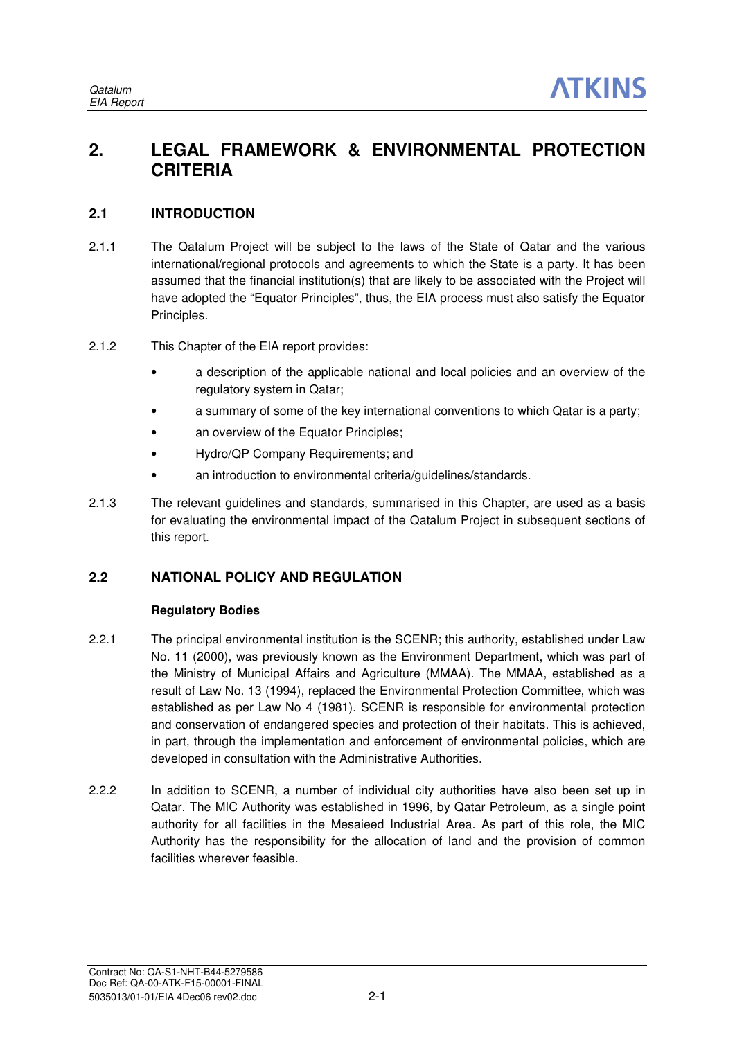## **2. LEGAL FRAMEWORK & ENVIRONMENTAL PROTECTION CRITERIA**

## **2.1 INTRODUCTION**

- 2.1.1 The Qatalum Project will be subject to the laws of the State of Qatar and the various international/regional protocols and agreements to which the State is a party. It has been assumed that the financial institution(s) that are likely to be associated with the Project will have adopted the "Equator Principles", thus, the EIA process must also satisfy the Equator Principles.
- 2.1.2 This Chapter of the EIA report provides:
	- a description of the applicable national and local policies and an overview of the regulatory system in Qatar;
	- a summary of some of the key international conventions to which Qatar is a party;
	- an overview of the Equator Principles;
	- Hydro/QP Company Requirements; and
	- an introduction to environmental criteria/guidelines/standards.
- 2.1.3 The relevant guidelines and standards, summarised in this Chapter, are used as a basis for evaluating the environmental impact of the Qatalum Project in subsequent sections of this report.

## **2.2 NATIONAL POLICY AND REGULATION**

## **Regulatory Bodies**

- 2.2.1 The principal environmental institution is the SCENR; this authority, established under Law No. 11 (2000), was previously known as the Environment Department, which was part of the Ministry of Municipal Affairs and Agriculture (MMAA). The MMAA, established as a result of Law No. 13 (1994), replaced the Environmental Protection Committee, which was established as per Law No 4 (1981). SCENR is responsible for environmental protection and conservation of endangered species and protection of their habitats. This is achieved, in part, through the implementation and enforcement of environmental policies, which are developed in consultation with the Administrative Authorities.
- 2.2.2 In addition to SCENR, a number of individual city authorities have also been set up in Qatar. The MIC Authority was established in 1996, by Qatar Petroleum, as a single point authority for all facilities in the Mesaieed Industrial Area. As part of this role, the MIC Authority has the responsibility for the allocation of land and the provision of common facilities wherever feasible.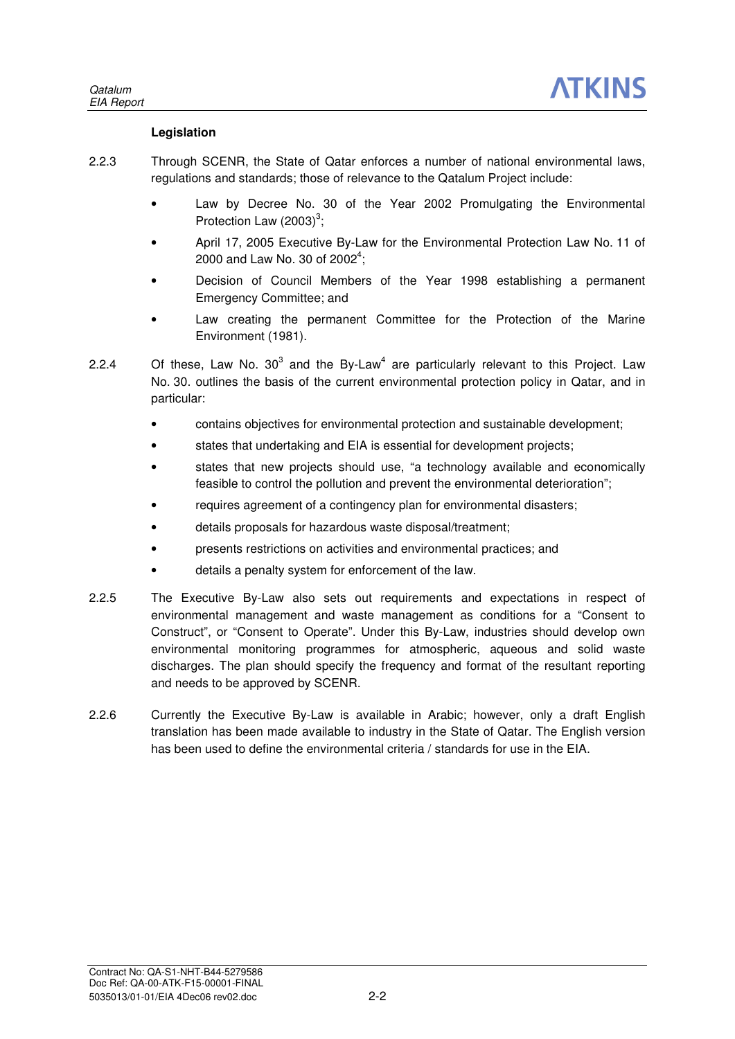### **Legislation**

- 2.2.3 Through SCENR, the State of Qatar enforces a number of national environmental laws, regulations and standards; those of relevance to the Qatalum Project include:
	- Law by Decree No. 30 of the Year 2002 Promulgating the Environmental Protection Law  $(2003)^3$ ;
	- April 17, 2005 Executive By-Law for the Environmental Protection Law No. 11 of 2000 and Law No. 30 of 2002<sup>4</sup>;
	- Decision of Council Members of the Year 1998 establishing a permanent Emergency Committee; and
	- Law creating the permanent Committee for the Protection of the Marine Environment (1981).
- 2.2.4 Of these, Law No.  $30^3$  and the By-Law<sup>4</sup> are particularly relevant to this Project. Law No. 30. outlines the basis of the current environmental protection policy in Qatar, and in particular:
	- contains objectives for environmental protection and sustainable development;
	- states that undertaking and EIA is essential for development projects;
	- states that new projects should use, "a technology available and economically feasible to control the pollution and prevent the environmental deterioration";
	- requires agreement of a contingency plan for environmental disasters;
	- details proposals for hazardous waste disposal/treatment;
	- presents restrictions on activities and environmental practices; and
	- details a penalty system for enforcement of the law.
- 2.2.5 The Executive By-Law also sets out requirements and expectations in respect of environmental management and waste management as conditions for a "Consent to Construct", or "Consent to Operate". Under this By-Law, industries should develop own environmental monitoring programmes for atmospheric, aqueous and solid waste discharges. The plan should specify the frequency and format of the resultant reporting and needs to be approved by SCENR.
- 2.2.6 Currently the Executive By-Law is available in Arabic; however, only a draft English translation has been made available to industry in the State of Qatar. The English version has been used to define the environmental criteria / standards for use in the EIA.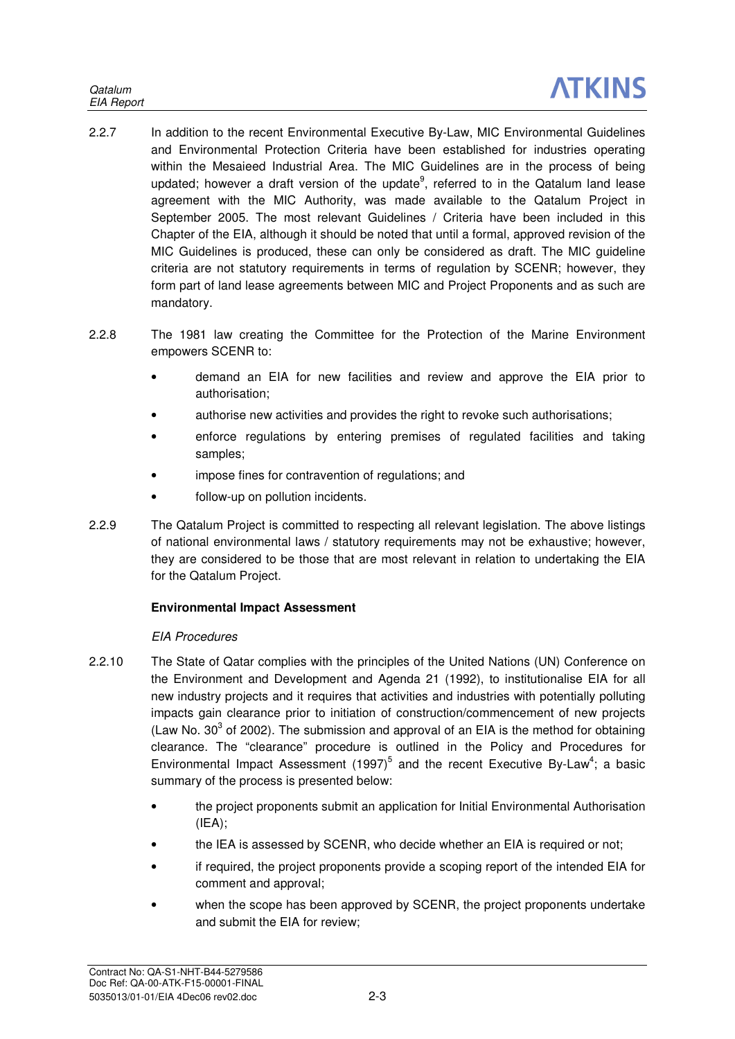- 2.2.7 In addition to the recent Environmental Executive By-Law, MIC Environmental Guidelines and Environmental Protection Criteria have been established for industries operating within the Mesaieed Industrial Area. The MIC Guidelines are in the process of being updated; however a draft version of the update<sup>9</sup>, referred to in the Qatalum land lease agreement with the MIC Authority, was made available to the Qatalum Project in September 2005. The most relevant Guidelines / Criteria have been included in this Chapter of the EIA, although it should be noted that until a formal, approved revision of the MIC Guidelines is produced, these can only be considered as draft. The MIC guideline criteria are not statutory requirements in terms of regulation by SCENR; however, they form part of land lease agreements between MIC and Project Proponents and as such are mandatory.
- 2.2.8 The 1981 law creating the Committee for the Protection of the Marine Environment empowers SCENR to:
	- demand an EIA for new facilities and review and approve the EIA prior to authorisation;
	- authorise new activities and provides the right to revoke such authorisations;
	- enforce regulations by entering premises of regulated facilities and taking samples;
	- impose fines for contravention of regulations; and
	- follow-up on pollution incidents.
- 2.2.9 The Qatalum Project is committed to respecting all relevant legislation. The above listings of national environmental laws / statutory requirements may not be exhaustive; however, they are considered to be those that are most relevant in relation to undertaking the EIA for the Qatalum Project.

## **Environmental Impact Assessment**

## EIA Procedures

- 2.2.10 The State of Qatar complies with the principles of the United Nations (UN) Conference on the Environment and Development and Agenda 21 (1992), to institutionalise EIA for all new industry projects and it requires that activities and industries with potentially polluting impacts gain clearance prior to initiation of construction/commencement of new projects (Law No.  $30<sup>3</sup>$  of 2002). The submission and approval of an EIA is the method for obtaining clearance. The "clearance" procedure is outlined in the Policy and Procedures for Environmental Impact Assessment  $(1997)^5$  and the recent Executive By-Law<sup>4</sup>; a basic summary of the process is presented below:
	- the project proponents submit an application for Initial Environmental Authorisation  $(IEA)$ :
	- the IEA is assessed by SCENR, who decide whether an EIA is required or not;
	- if required, the project proponents provide a scoping report of the intended EIA for comment and approval;
	- when the scope has been approved by SCENR, the project proponents undertake and submit the EIA for review;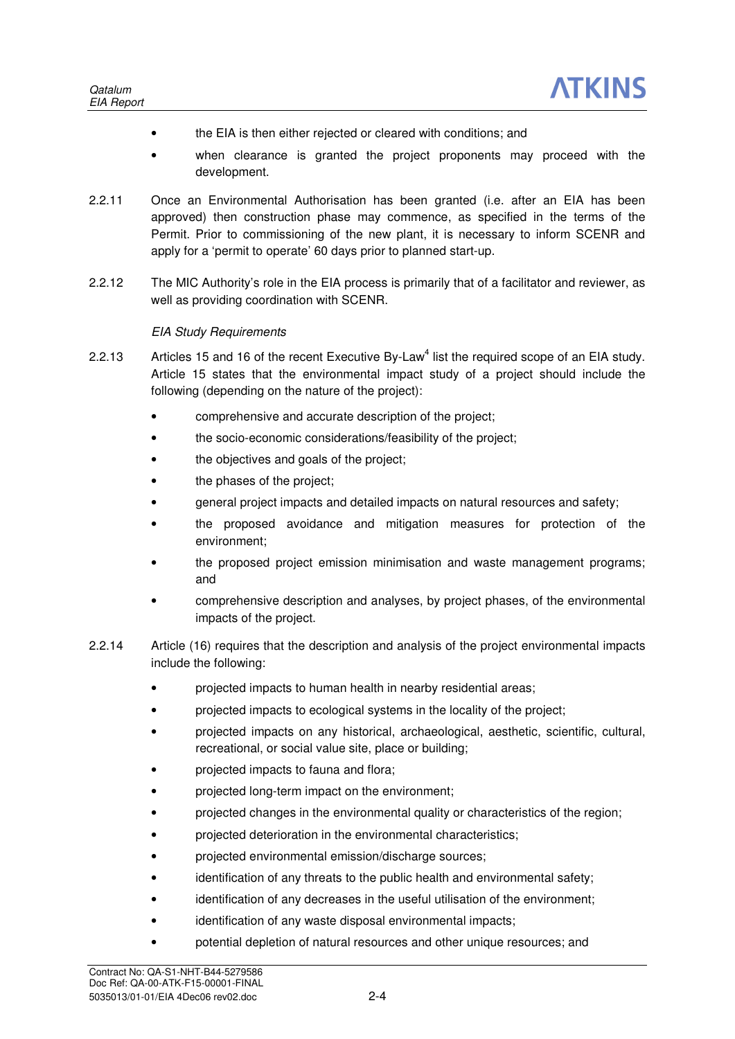- the EIA is then either rejected or cleared with conditions; and
- when clearance is granted the project proponents may proceed with the development.
- 2.2.11 Once an Environmental Authorisation has been granted (i.e. after an EIA has been approved) then construction phase may commence, as specified in the terms of the Permit. Prior to commissioning of the new plant, it is necessary to inform SCENR and apply for a 'permit to operate' 60 days prior to planned start-up.
- 2.2.12 The MIC Authority's role in the EIA process is primarily that of a facilitator and reviewer, as well as providing coordination with SCENR.

### EIA Study Requirements

- 2.2.13 Articles 15 and 16 of the recent Executive By-Law<sup>4</sup> list the required scope of an EIA study. Article 15 states that the environmental impact study of a project should include the following (depending on the nature of the project):
	- comprehensive and accurate description of the project;
	- the socio-economic considerations/feasibility of the project;
	- the objectives and goals of the project;
	- the phases of the project:
	- general project impacts and detailed impacts on natural resources and safety;
	- the proposed avoidance and mitigation measures for protection of the environment;
	- the proposed project emission minimisation and waste management programs; and
	- comprehensive description and analyses, by project phases, of the environmental impacts of the project.
- 2.2.14 Article (16) requires that the description and analysis of the project environmental impacts include the following:
	- projected impacts to human health in nearby residential areas;
	- projected impacts to ecological systems in the locality of the project;
	- projected impacts on any historical, archaeological, aesthetic, scientific, cultural, recreational, or social value site, place or building;
	- projected impacts to fauna and flora;
	- projected long-term impact on the environment;
	- projected changes in the environmental quality or characteristics of the region;
	- projected deterioration in the environmental characteristics;
	- projected environmental emission/discharge sources;
	- identification of any threats to the public health and environmental safety;
	- identification of any decreases in the useful utilisation of the environment;
	- identification of any waste disposal environmental impacts;
	- potential depletion of natural resources and other unique resources; and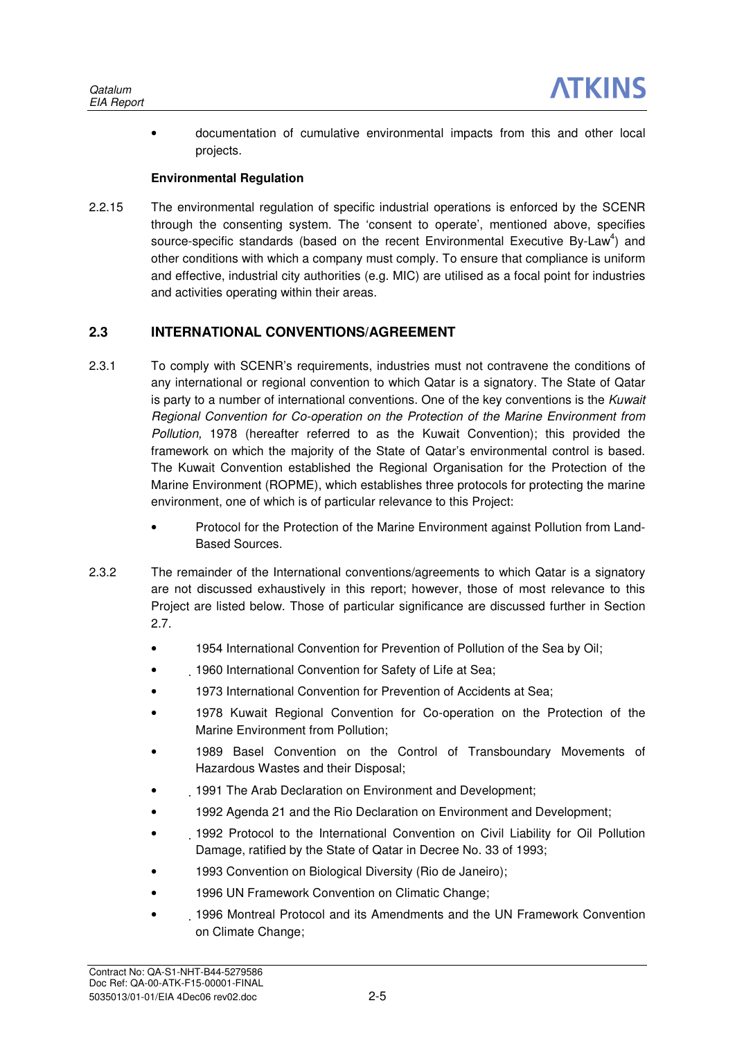• documentation of cumulative environmental impacts from this and other local projects.

### **Environmental Regulation**

2.2.15 The environmental regulation of specific industrial operations is enforced by the SCENR through the consenting system. The 'consent to operate', mentioned above, specifies source-specific standards (based on the recent Environmental Executive By-Law<sup>4</sup>) and other conditions with which a company must comply. To ensure that compliance is uniform and effective, industrial city authorities (e.g. MIC) are utilised as a focal point for industries and activities operating within their areas.

## **2.3 INTERNATIONAL CONVENTIONS/AGREEMENT**

- 2.3.1 To comply with SCENR's requirements, industries must not contravene the conditions of any international or regional convention to which Qatar is a signatory. The State of Qatar is party to a number of international conventions. One of the key conventions is the Kuwait Regional Convention for Co-operation on the Protection of the Marine Environment from Pollution, 1978 (hereafter referred to as the Kuwait Convention); this provided the framework on which the majority of the State of Qatar's environmental control is based. The Kuwait Convention established the Regional Organisation for the Protection of the Marine Environment (ROPME), which establishes three protocols for protecting the marine environment, one of which is of particular relevance to this Project:
	- Protocol for the Protection of the Marine Environment against Pollution from Land-Based Sources.
- 2.3.2 The remainder of the International conventions/agreements to which Qatar is a signatory are not discussed exhaustively in this report; however, those of most relevance to this Project are listed below. Those of particular significance are discussed further in Section 2.7.
	- 1954 International Convention for Prevention of Pollution of the Sea by Oil;
	- 1960 International Convention for Safety of Life at Sea;
	- 1973 International Convention for Prevention of Accidents at Sea;
	- 1978 Kuwait Regional Convention for Co-operation on the Protection of the Marine Environment from Pollution;
	- 1989 Basel Convention on the Control of Transboundary Movements of Hazardous Wastes and their Disposal;
	- 1991 The Arab Declaration on Environment and Development;
	- 1992 Agenda 21 and the Rio Declaration on Environment and Development;
	- 1992 Protocol to the International Convention on Civil Liability for Oil Pollution Damage, ratified by the State of Qatar in Decree No. 33 of 1993;
	- 1993 Convention on Biological Diversity (Rio de Janeiro);
	- 1996 UN Framework Convention on Climatic Change;
	- 1996 Montreal Protocol and its Amendments and the UN Framework Convention on Climate Change;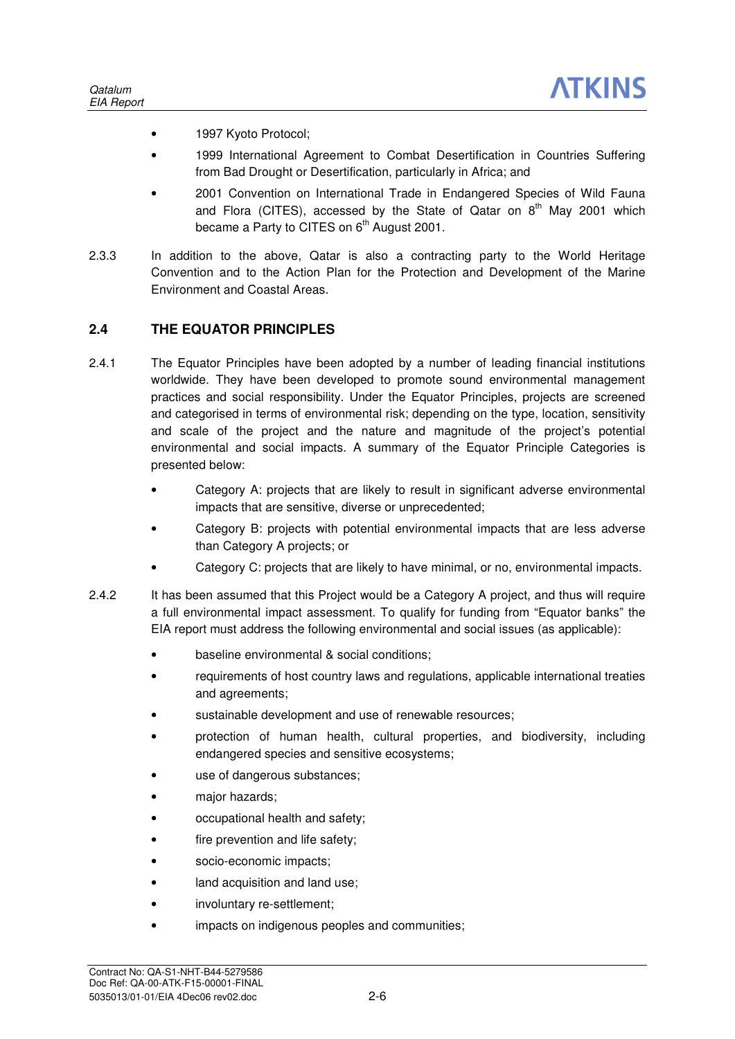- 1997 Kyoto Protocol;
- 1999 International Agreement to Combat Desertification in Countries Suffering from Bad Drought or Desertification, particularly in Africa; and
- 2001 Convention on International Trade in Endangered Species of Wild Fauna and Flora (CITES), accessed by the State of Qatar on  $8<sup>th</sup>$  May 2001 which became a Party to CITES on  $6<sup>th</sup>$  August 2001.
- 2.3.3 In addition to the above, Qatar is also a contracting party to the World Heritage Convention and to the Action Plan for the Protection and Development of the Marine Environment and Coastal Areas.

## **2.4 THE EQUATOR PRINCIPLES**

- 2.4.1 The Equator Principles have been adopted by a number of leading financial institutions worldwide. They have been developed to promote sound environmental management practices and social responsibility. Under the Equator Principles, projects are screened and categorised in terms of environmental risk; depending on the type, location, sensitivity and scale of the project and the nature and magnitude of the project's potential environmental and social impacts. A summary of the Equator Principle Categories is presented below:
	- Category A: projects that are likely to result in significant adverse environmental impacts that are sensitive, diverse or unprecedented;
	- Category B: projects with potential environmental impacts that are less adverse than Category A projects; or
	- Category C: projects that are likely to have minimal, or no, environmental impacts.
- 2.4.2 It has been assumed that this Project would be a Category A project, and thus will require a full environmental impact assessment. To qualify for funding from "Equator banks" the EIA report must address the following environmental and social issues (as applicable):
	- baseline environmental & social conditions;
	- requirements of host country laws and regulations, applicable international treaties and agreements;
	- sustainable development and use of renewable resources;
	- protection of human health, cultural properties, and biodiversity, including endangered species and sensitive ecosystems;
	- use of dangerous substances;
	- maior hazards:
	- occupational health and safety;
	- fire prevention and life safety;
	- socio-economic impacts;
	- land acquisition and land use;
	- involuntary re-settlement;
	- impacts on indigenous peoples and communities;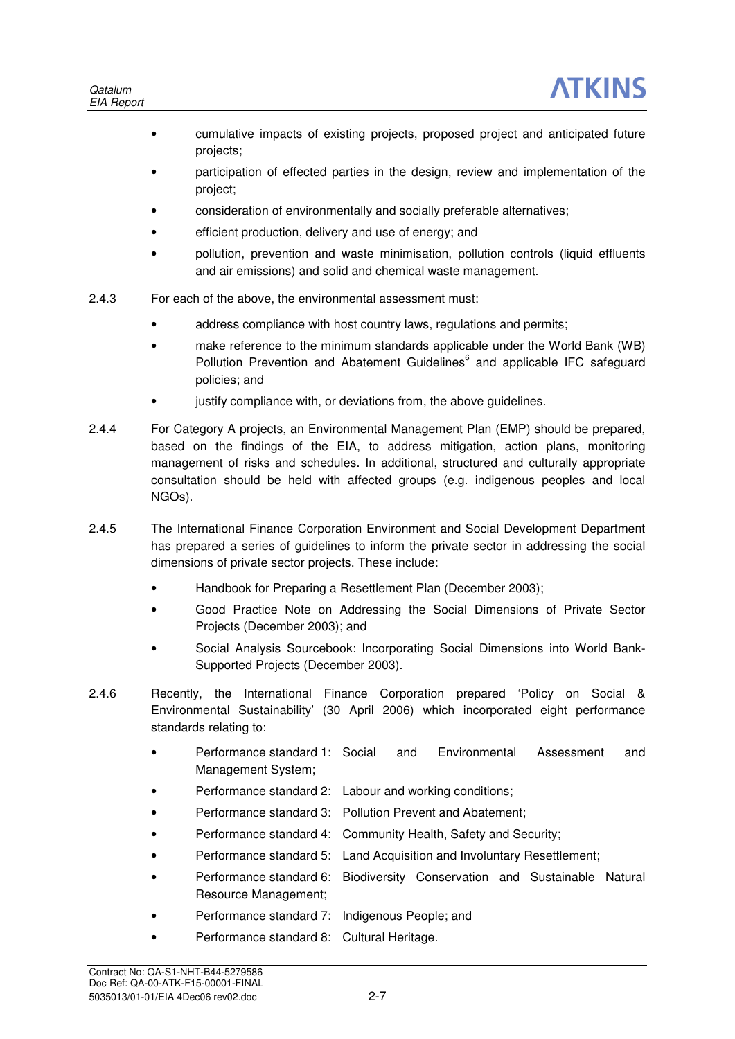- cumulative impacts of existing projects, proposed project and anticipated future projects;
- participation of effected parties in the design, review and implementation of the project;
- consideration of environmentally and socially preferable alternatives;
- efficient production, delivery and use of energy; and
- pollution, prevention and waste minimisation, pollution controls (liquid effluents and air emissions) and solid and chemical waste management.
- 2.4.3 For each of the above, the environmental assessment must:
	- address compliance with host country laws, regulations and permits;
	- make reference to the minimum standards applicable under the World Bank (WB) Pollution Prevention and Abatement Guidelines<sup>6</sup> and applicable IFC safeguard policies; and
	- justify compliance with, or deviations from, the above quidelines.
- 2.4.4 For Category A projects, an Environmental Management Plan (EMP) should be prepared, based on the findings of the EIA, to address mitigation, action plans, monitoring management of risks and schedules. In additional, structured and culturally appropriate consultation should be held with affected groups (e.g. indigenous peoples and local NGOs).
- 2.4.5 The International Finance Corporation Environment and Social Development Department has prepared a series of guidelines to inform the private sector in addressing the social dimensions of private sector projects. These include:
	- Handbook for Preparing a Resettlement Plan (December 2003);
	- Good Practice Note on Addressing the Social Dimensions of Private Sector Projects (December 2003); and
	- Social Analysis Sourcebook: Incorporating Social Dimensions into World Bank-Supported Projects (December 2003).
- 2.4.6 Recently, the International Finance Corporation prepared 'Policy on Social & Environmental Sustainability' (30 April 2006) which incorporated eight performance standards relating to:
	- Performance standard 1: Social and Environmental Assessment and Management System;
	- Performance standard 2: Labour and working conditions;
	- Performance standard 3: Pollution Prevent and Abatement;
	- Performance standard 4: Community Health, Safety and Security;
	- Performance standard 5: Land Acquisition and Involuntary Resettlement;
	- Performance standard 6: Biodiversity Conservation and Sustainable Natural Resource Management;
	- Performance standard 7: Indigenous People; and
	- Performance standard 8: Cultural Heritage.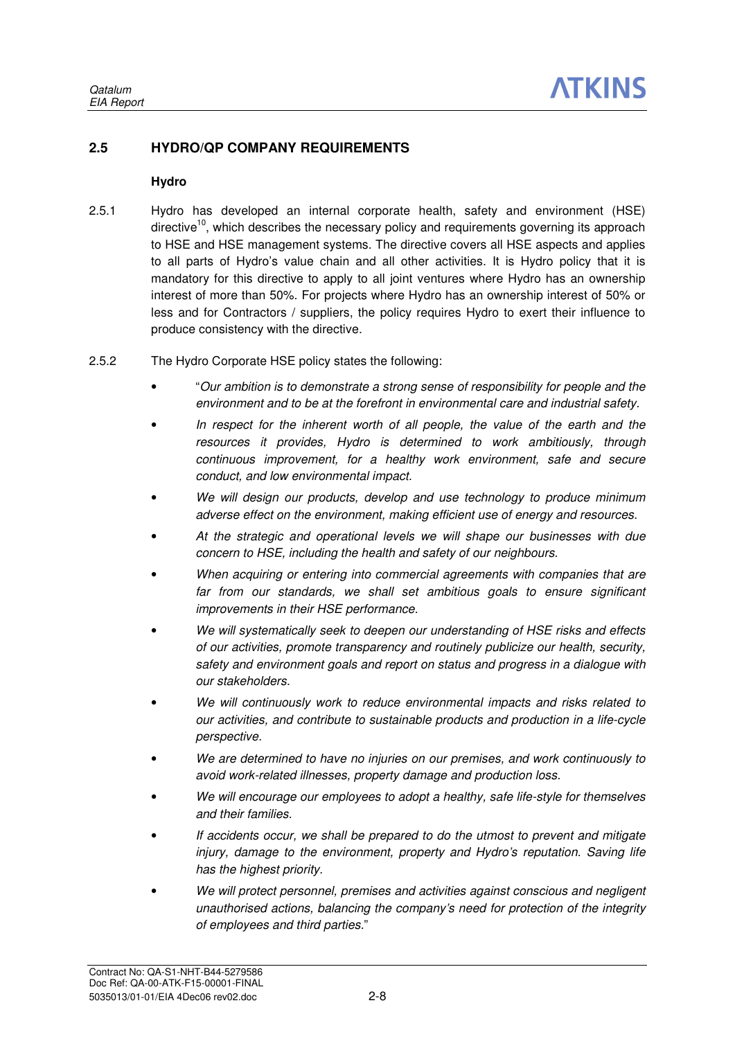## **2.5 HYDRO/QP COMPANY REQUIREMENTS**

### **Hydro**

- 2.5.1 Hydro has developed an internal corporate health, safety and environment (HSE) directive<sup>10</sup>, which describes the necessary policy and requirements governing its approach to HSE and HSE management systems. The directive covers all HSE aspects and applies to all parts of Hydro's value chain and all other activities. It is Hydro policy that it is mandatory for this directive to apply to all joint ventures where Hydro has an ownership interest of more than 50%. For projects where Hydro has an ownership interest of 50% or less and for Contractors / suppliers, the policy requires Hydro to exert their influence to produce consistency with the directive.
- 2.5.2 The Hydro Corporate HSE policy states the following:
	- "Our ambition is to demonstrate a strong sense of responsibility for people and the environment and to be at the forefront in environmental care and industrial safety.
	- In respect for the inherent worth of all people, the value of the earth and the resources it provides, Hydro is determined to work ambitiously, through continuous improvement, for a healthy work environment, safe and secure conduct, and low environmental impact.
	- We will design our products, develop and use technology to produce minimum adverse effect on the environment, making efficient use of energy and resources.
	- At the strategic and operational levels we will shape our businesses with due concern to HSE, including the health and safety of our neighbours.
	- When acquiring or entering into commercial agreements with companies that are far from our standards, we shall set ambitious goals to ensure significant improvements in their HSE performance.
	- We will systematically seek to deepen our understanding of HSE risks and effects of our activities, promote transparency and routinely publicize our health, security, safety and environment goals and report on status and progress in a dialogue with our stakeholders.
	- We will continuously work to reduce environmental impacts and risks related to our activities, and contribute to sustainable products and production in a life-cycle perspective.
	- We are determined to have no injuries on our premises, and work continuously to avoid work-related illnesses, property damage and production loss.
	- We will encourage our employees to adopt a healthy, safe life-style for themselves and their families.
	- If accidents occur, we shall be prepared to do the utmost to prevent and mitigate injury, damage to the environment, property and Hydro's reputation. Saving life has the highest priority.
	- We will protect personnel, premises and activities against conscious and negligent unauthorised actions, balancing the company's need for protection of the integrity of employees and third parties."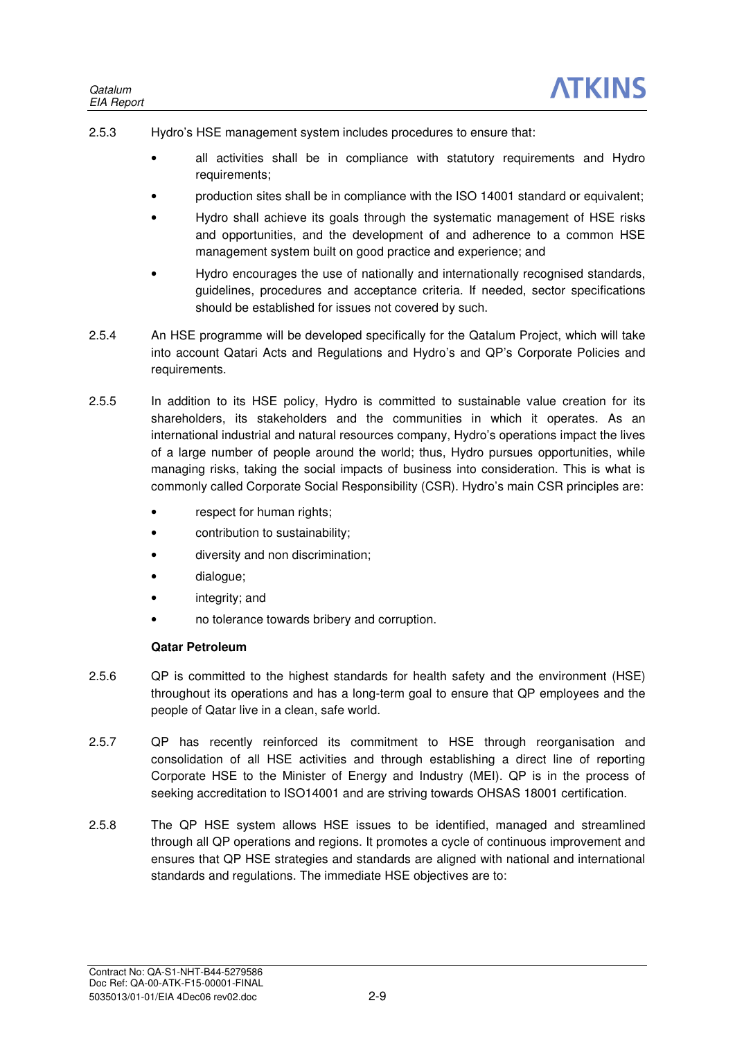- 2.5.3 Hydro's HSE management system includes procedures to ensure that:
	- all activities shall be in compliance with statutory requirements and Hydro requirements;
	- production sites shall be in compliance with the ISO 14001 standard or equivalent;
	- Hydro shall achieve its goals through the systematic management of HSE risks and opportunities, and the development of and adherence to a common HSE management system built on good practice and experience; and
	- Hydro encourages the use of nationally and internationally recognised standards, guidelines, procedures and acceptance criteria. If needed, sector specifications should be established for issues not covered by such.
- 2.5.4 An HSE programme will be developed specifically for the Qatalum Project, which will take into account Qatari Acts and Regulations and Hydro's and QP's Corporate Policies and requirements.
- 2.5.5 In addition to its HSE policy, Hydro is committed to sustainable value creation for its shareholders, its stakeholders and the communities in which it operates. As an international industrial and natural resources company, Hydro's operations impact the lives of a large number of people around the world; thus, Hydro pursues opportunities, while managing risks, taking the social impacts of business into consideration. This is what is commonly called Corporate Social Responsibility (CSR). Hydro's main CSR principles are:
	- respect for human rights;
	- contribution to sustainability;
	- diversity and non discrimination;
	- dialogue;
	- integrity; and
	- no tolerance towards bribery and corruption.

## **Qatar Petroleum**

- 2.5.6 QP is committed to the highest standards for health safety and the environment (HSE) throughout its operations and has a long-term goal to ensure that QP employees and the people of Qatar live in a clean, safe world.
- 2.5.7 QP has recently reinforced its commitment to HSE through reorganisation and consolidation of all HSE activities and through establishing a direct line of reporting Corporate HSE to the Minister of Energy and Industry (MEI). QP is in the process of seeking accreditation to ISO14001 and are striving towards OHSAS 18001 certification.
- 2.5.8 The QP HSE system allows HSE issues to be identified, managed and streamlined through all QP operations and regions. It promotes a cycle of continuous improvement and ensures that QP HSE strategies and standards are aligned with national and international standards and regulations. The immediate HSE objectives are to: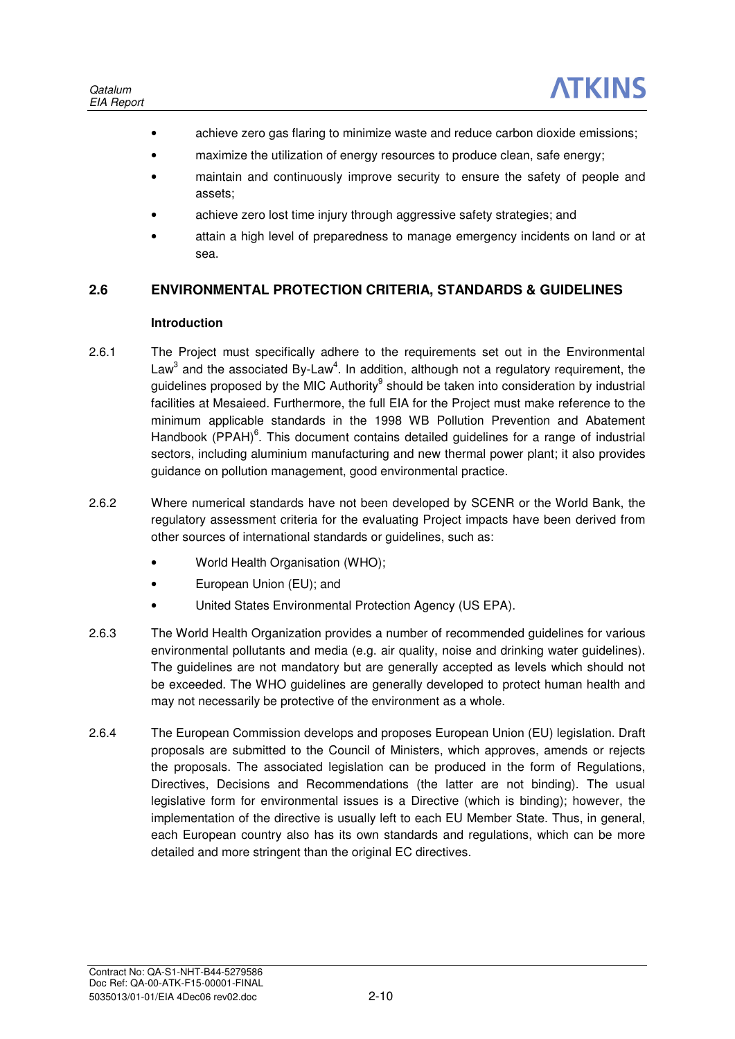- achieve zero gas flaring to minimize waste and reduce carbon dioxide emissions;
- maximize the utilization of energy resources to produce clean, safe energy;
- maintain and continuously improve security to ensure the safety of people and assets;
- achieve zero lost time injury through aggressive safety strategies; and
- attain a high level of preparedness to manage emergency incidents on land or at sea.

## **2.6 ENVIRONMENTAL PROTECTION CRITERIA, STANDARDS & GUIDELINES**

### **Introduction**

- 2.6.1 The Project must specifically adhere to the requirements set out in the Environmental Law<sup>3</sup> and the associated By-Law<sup>4</sup>. In addition, although not a regulatory requirement, the guidelines proposed by the MIC Authority<sup>9</sup> should be taken into consideration by industrial facilities at Mesaieed. Furthermore, the full EIA for the Project must make reference to the minimum applicable standards in the 1998 WB Pollution Prevention and Abatement Handbook (PPAH)<sup>6</sup>. This document contains detailed guidelines for a range of industrial sectors, including aluminium manufacturing and new thermal power plant; it also provides guidance on pollution management, good environmental practice.
- 2.6.2 Where numerical standards have not been developed by SCENR or the World Bank, the regulatory assessment criteria for the evaluating Project impacts have been derived from other sources of international standards or guidelines, such as:
	- World Health Organisation (WHO):
	- European Union (EU); and
	- United States Environmental Protection Agency (US EPA).
- 2.6.3 The World Health Organization provides a number of recommended guidelines for various environmental pollutants and media (e.g. air quality, noise and drinking water guidelines). The guidelines are not mandatory but are generally accepted as levels which should not be exceeded. The WHO guidelines are generally developed to protect human health and may not necessarily be protective of the environment as a whole.
- 2.6.4 The European Commission develops and proposes European Union (EU) legislation. Draft proposals are submitted to the Council of Ministers, which approves, amends or rejects the proposals. The associated legislation can be produced in the form of Regulations, Directives, Decisions and Recommendations (the latter are not binding). The usual legislative form for environmental issues is a Directive (which is binding); however, the implementation of the directive is usually left to each EU Member State. Thus, in general, each European country also has its own standards and regulations, which can be more detailed and more stringent than the original EC directives.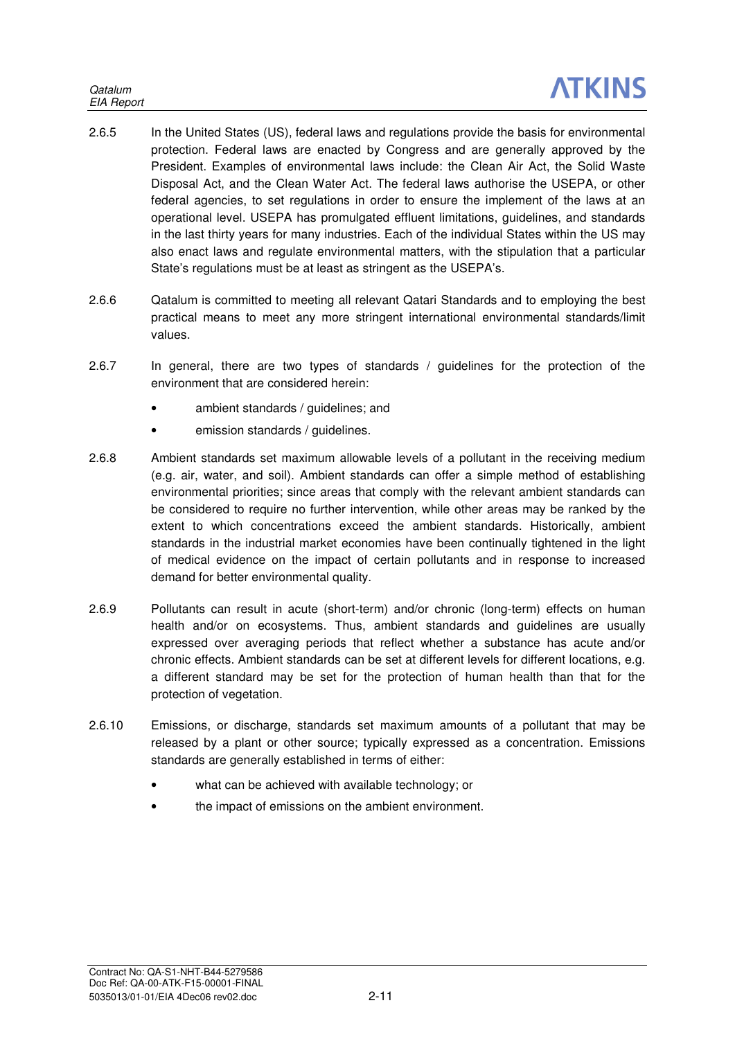- 2.6.5 In the United States (US), federal laws and regulations provide the basis for environmental protection. Federal laws are enacted by Congress and are generally approved by the President. Examples of environmental laws include: the Clean Air Act, the Solid Waste Disposal Act, and the Clean Water Act. The federal laws authorise the USEPA, or other federal agencies, to set regulations in order to ensure the implement of the laws at an operational level. USEPA has promulgated effluent limitations, guidelines, and standards in the last thirty years for many industries. Each of the individual States within the US may also enact laws and regulate environmental matters, with the stipulation that a particular State's regulations must be at least as stringent as the USEPA's.
- 2.6.6 Qatalum is committed to meeting all relevant Qatari Standards and to employing the best practical means to meet any more stringent international environmental standards/limit values.
- 2.6.7 In general, there are two types of standards / guidelines for the protection of the environment that are considered herein:
	- ambient standards / guidelines; and
	- emission standards / guidelines.
- 2.6.8 Ambient standards set maximum allowable levels of a pollutant in the receiving medium (e.g. air, water, and soil). Ambient standards can offer a simple method of establishing environmental priorities; since areas that comply with the relevant ambient standards can be considered to require no further intervention, while other areas may be ranked by the extent to which concentrations exceed the ambient standards. Historically, ambient standards in the industrial market economies have been continually tightened in the light of medical evidence on the impact of certain pollutants and in response to increased demand for better environmental quality.
- 2.6.9 Pollutants can result in acute (short-term) and/or chronic (long-term) effects on human health and/or on ecosystems. Thus, ambient standards and guidelines are usually expressed over averaging periods that reflect whether a substance has acute and/or chronic effects. Ambient standards can be set at different levels for different locations, e.g. a different standard may be set for the protection of human health than that for the protection of vegetation.
- 2.6.10 Emissions, or discharge, standards set maximum amounts of a pollutant that may be released by a plant or other source; typically expressed as a concentration. Emissions standards are generally established in terms of either:
	- what can be achieved with available technology; or
	- the impact of emissions on the ambient environment.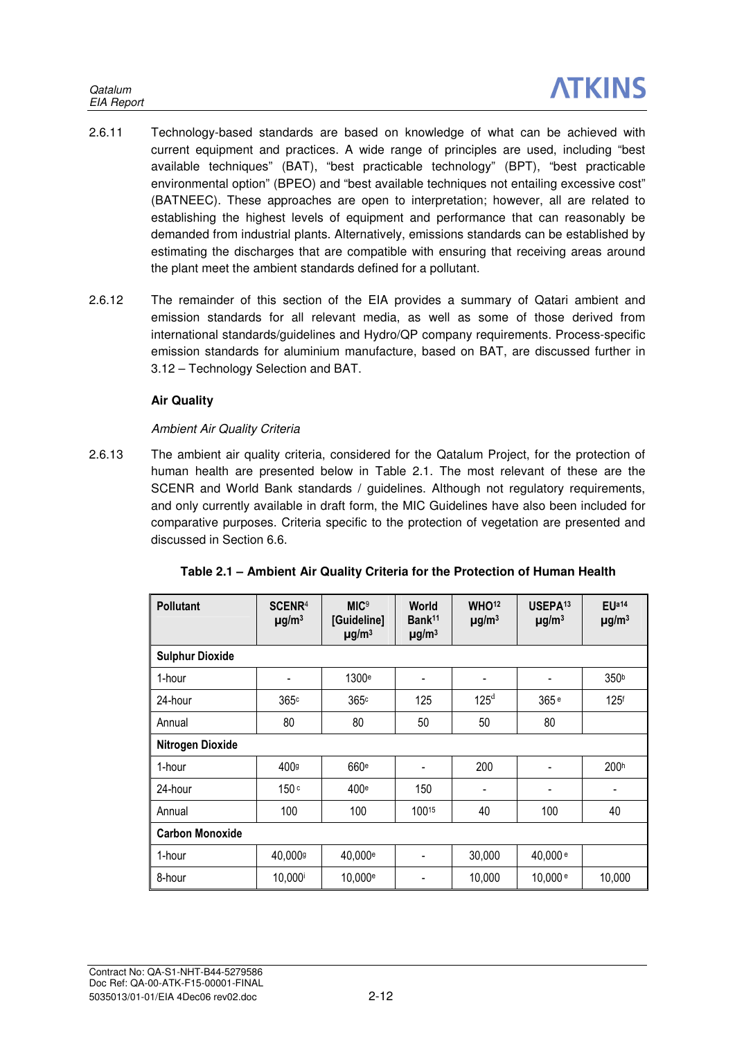- 2.6.11 Technology-based standards are based on knowledge of what can be achieved with current equipment and practices. A wide range of principles are used, including "best available techniques" (BAT), "best practicable technology" (BPT), "best practicable environmental option" (BPEO) and "best available techniques not entailing excessive cost" (BATNEEC). These approaches are open to interpretation; however, all are related to establishing the highest levels of equipment and performance that can reasonably be demanded from industrial plants. Alternatively, emissions standards can be established by estimating the discharges that are compatible with ensuring that receiving areas around the plant meet the ambient standards defined for a pollutant.
- 2.6.12 The remainder of this section of the EIA provides a summary of Qatari ambient and emission standards for all relevant media, as well as some of those derived from international standards/guidelines and Hydro/QP company requirements. Process-specific emission standards for aluminium manufacture, based on BAT, are discussed further in 3.12 – Technology Selection and BAT.

## **Air Quality**

## Ambient Air Quality Criteria

2.6.13 The ambient air quality criteria, considered for the Qatalum Project, for the protection of human health are presented below in Table 2.1. The most relevant of these are the SCENR and World Bank standards / guidelines. Although not regulatory requirements, and only currently available in draft form, the MIC Guidelines have also been included for comparative purposes. Criteria specific to the protection of vegetation are presented and discussed in Section 6.6.

| <b>Pollutant</b>       | SCENR <sup>4</sup><br>$\mu$ g/m <sup>3</sup> | <b>MIC<sup>9</sup></b><br>[Guideline]<br>$\mu$ g/m <sup>3</sup> | <b>World</b><br>Bank <sup>11</sup><br>$\mu$ g/m <sup>3</sup> | WHO <sup>12</sup><br>$\mu$ g/m <sup>3</sup> | USEPA <sup>13</sup><br>$\mu$ g/m <sup>3</sup> | EUa14<br>$\mu$ g/m <sup>3</sup> |
|------------------------|----------------------------------------------|-----------------------------------------------------------------|--------------------------------------------------------------|---------------------------------------------|-----------------------------------------------|---------------------------------|
| <b>Sulphur Dioxide</b> |                                              |                                                                 |                                                              |                                             |                                               |                                 |
| 1-hour                 | $\overline{\phantom{a}}$                     | 1300 <sup>e</sup>                                               | $\blacksquare$                                               |                                             |                                               | 350 <sup>b</sup>                |
| 24-hour                | 365 <sup>c</sup>                             | 365c                                                            | 125                                                          | $125^d$                                     | 365 <sup>e</sup>                              | 125 <sup>f</sup>                |
| Annual                 | 80                                           | 80                                                              | 50                                                           | 50                                          | 80                                            |                                 |
| Nitrogen Dioxide       |                                              |                                                                 |                                                              |                                             |                                               |                                 |
| 1-hour                 | 400g                                         | 660 <sup>e</sup>                                                |                                                              | 200                                         |                                               | 200 <sup>h</sup>                |
| 24-hour                | 150c                                         | 400 <sup>e</sup>                                                | 150                                                          | $\blacksquare$                              | $\blacksquare$                                |                                 |
| Annual                 | 100                                          | 100                                                             | 10015                                                        | 40                                          | 100                                           | 40                              |
| <b>Carbon Monoxide</b> |                                              |                                                                 |                                                              |                                             |                                               |                                 |
| 1-hour                 | 40,000g                                      | 40,000 <sup>e</sup>                                             | $\qquad \qquad \blacksquare$                                 | 30,000                                      | 40,000 <sup>e</sup>                           |                                 |
| 8-hour                 | 10,000i                                      | 10,000 <sup>e</sup>                                             | $\blacksquare$                                               | 10,000                                      | 10,000 <sup>e</sup>                           | 10,000                          |

| Table 2.1 - Ambient Air Quality Criteria for the Protection of Human Health |  |  |  |
|-----------------------------------------------------------------------------|--|--|--|
|                                                                             |  |  |  |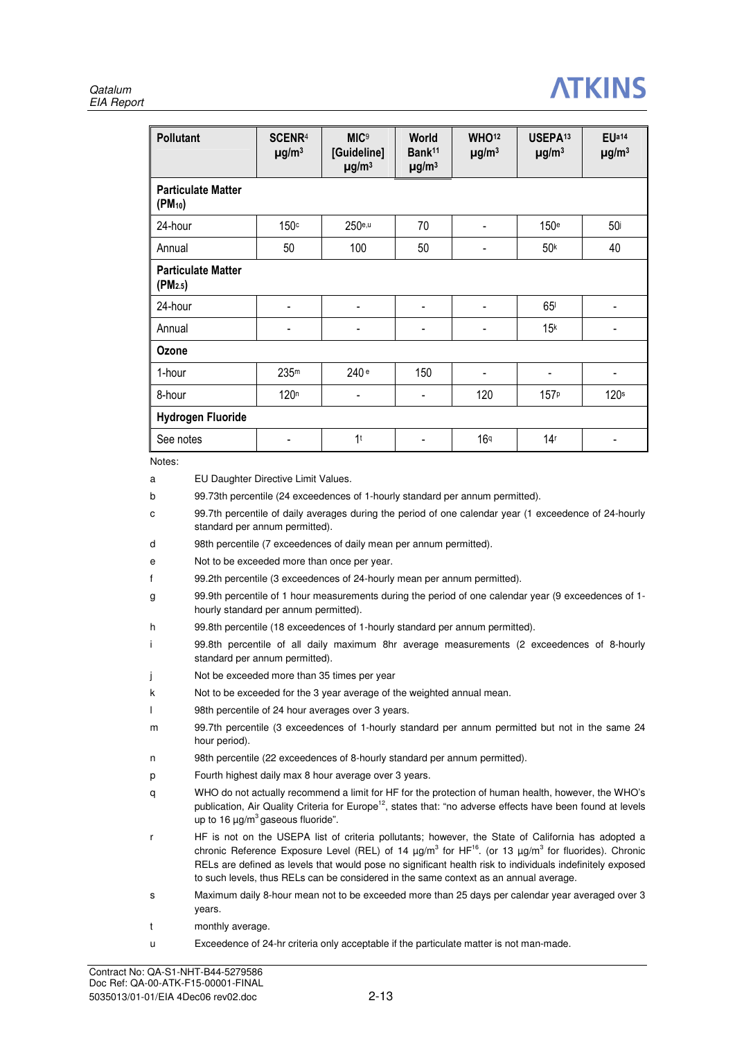### **Qatalum** EIA Report



|                                                          | <b>Pollutant</b>                                                                                                                                                                                                                                                                                                                                                                                                                                                                             | EUa14<br>SCENR <sup>4</sup><br><b>MIC<sup>9</sup></b><br>World<br><b>WHO12</b><br>USEPA <sup>13</sup><br>Bank <sup>11</sup><br>[Guideline]<br>$\mu$ g/m <sup>3</sup><br>$\mu$ g/m <sup>3</sup><br>$\mu$ g/m <sup>3</sup><br>$\mu$ g/m <sup>3</sup><br>$\mu$ g/m <sup>3</sup><br>$\mu$ g/m <sup>3</sup> |                                                                                                                                                                                                                                                                                                                                                                                                                                                                                                                                                                                                                                                                                                                                                                                                                                                                                                                                                                 |     |                 |                  |                  |  |  |  |
|----------------------------------------------------------|----------------------------------------------------------------------------------------------------------------------------------------------------------------------------------------------------------------------------------------------------------------------------------------------------------------------------------------------------------------------------------------------------------------------------------------------------------------------------------------------|--------------------------------------------------------------------------------------------------------------------------------------------------------------------------------------------------------------------------------------------------------------------------------------------------------|-----------------------------------------------------------------------------------------------------------------------------------------------------------------------------------------------------------------------------------------------------------------------------------------------------------------------------------------------------------------------------------------------------------------------------------------------------------------------------------------------------------------------------------------------------------------------------------------------------------------------------------------------------------------------------------------------------------------------------------------------------------------------------------------------------------------------------------------------------------------------------------------------------------------------------------------------------------------|-----|-----------------|------------------|------------------|--|--|--|
| $(PM_{10})$                                              | <b>Particulate Matter</b>                                                                                                                                                                                                                                                                                                                                                                                                                                                                    |                                                                                                                                                                                                                                                                                                        |                                                                                                                                                                                                                                                                                                                                                                                                                                                                                                                                                                                                                                                                                                                                                                                                                                                                                                                                                                 |     |                 |                  |                  |  |  |  |
|                                                          | 24-hour                                                                                                                                                                                                                                                                                                                                                                                                                                                                                      | 150c                                                                                                                                                                                                                                                                                                   | $250$ e,u                                                                                                                                                                                                                                                                                                                                                                                                                                                                                                                                                                                                                                                                                                                                                                                                                                                                                                                                                       | 70  |                 | 150 <sup>e</sup> | 50 <sup>j</sup>  |  |  |  |
| Annual                                                   |                                                                                                                                                                                                                                                                                                                                                                                                                                                                                              | 50                                                                                                                                                                                                                                                                                                     | 100                                                                                                                                                                                                                                                                                                                                                                                                                                                                                                                                                                                                                                                                                                                                                                                                                                                                                                                                                             | 50  |                 | 50 <sup>k</sup>  | 40               |  |  |  |
| $(PM_{2.5})$                                             | <b>Particulate Matter</b>                                                                                                                                                                                                                                                                                                                                                                                                                                                                    |                                                                                                                                                                                                                                                                                                        |                                                                                                                                                                                                                                                                                                                                                                                                                                                                                                                                                                                                                                                                                                                                                                                                                                                                                                                                                                 |     |                 |                  |                  |  |  |  |
|                                                          | 24-hour                                                                                                                                                                                                                                                                                                                                                                                                                                                                                      |                                                                                                                                                                                                                                                                                                        |                                                                                                                                                                                                                                                                                                                                                                                                                                                                                                                                                                                                                                                                                                                                                                                                                                                                                                                                                                 |     |                 | 65 <sup>1</sup>  |                  |  |  |  |
| Annual                                                   |                                                                                                                                                                                                                                                                                                                                                                                                                                                                                              |                                                                                                                                                                                                                                                                                                        |                                                                                                                                                                                                                                                                                                                                                                                                                                                                                                                                                                                                                                                                                                                                                                                                                                                                                                                                                                 |     |                 | 15 <sup>k</sup>  |                  |  |  |  |
| Ozone                                                    |                                                                                                                                                                                                                                                                                                                                                                                                                                                                                              |                                                                                                                                                                                                                                                                                                        |                                                                                                                                                                                                                                                                                                                                                                                                                                                                                                                                                                                                                                                                                                                                                                                                                                                                                                                                                                 |     |                 |                  |                  |  |  |  |
| 1-hour                                                   |                                                                                                                                                                                                                                                                                                                                                                                                                                                                                              | 235 <sup>m</sup>                                                                                                                                                                                                                                                                                       | 240 <sup>e</sup>                                                                                                                                                                                                                                                                                                                                                                                                                                                                                                                                                                                                                                                                                                                                                                                                                                                                                                                                                | 150 |                 |                  |                  |  |  |  |
| 8-hour                                                   |                                                                                                                                                                                                                                                                                                                                                                                                                                                                                              | 120 <sup>n</sup>                                                                                                                                                                                                                                                                                       |                                                                                                                                                                                                                                                                                                                                                                                                                                                                                                                                                                                                                                                                                                                                                                                                                                                                                                                                                                 |     | 120             | 157 <sup>p</sup> | 120 <sup>s</sup> |  |  |  |
|                                                          | <b>Hydrogen Fluoride</b>                                                                                                                                                                                                                                                                                                                                                                                                                                                                     |                                                                                                                                                                                                                                                                                                        |                                                                                                                                                                                                                                                                                                                                                                                                                                                                                                                                                                                                                                                                                                                                                                                                                                                                                                                                                                 |     |                 |                  |                  |  |  |  |
|                                                          |                                                                                                                                                                                                                                                                                                                                                                                                                                                                                              |                                                                                                                                                                                                                                                                                                        | 1 <sup>t</sup>                                                                                                                                                                                                                                                                                                                                                                                                                                                                                                                                                                                                                                                                                                                                                                                                                                                                                                                                                  |     |                 |                  |                  |  |  |  |
| Notes:                                                   | See notes                                                                                                                                                                                                                                                                                                                                                                                                                                                                                    |                                                                                                                                                                                                                                                                                                        |                                                                                                                                                                                                                                                                                                                                                                                                                                                                                                                                                                                                                                                                                                                                                                                                                                                                                                                                                                 |     | 16 <sup>q</sup> | 14 <sup>r</sup>  |                  |  |  |  |
| b<br>с<br>d<br>е<br>f<br>g<br>h<br>i<br>j<br>k<br>I<br>m | hour period).                                                                                                                                                                                                                                                                                                                                                                                                                                                                                | standard per annum permitted).<br>hourly standard per annum permitted).<br>standard per annum permitted).                                                                                                                                                                                              | 99.73th percentile (24 exceedences of 1-hourly standard per annum permitted).<br>99.7th percentile of daily averages during the period of one calendar year (1 exceedence of 24-hourly<br>98th percentile (7 exceedences of daily mean per annum permitted).<br>Not to be exceeded more than once per year.<br>99.2th percentile (3 exceedences of 24-hourly mean per annum permitted).<br>99.9th percentile of 1 hour measurements during the period of one calendar year (9 exceedences of 1-<br>99.8th percentile (18 exceedences of 1-hourly standard per annum permitted).<br>99.8th percentile of all daily maximum 8hr average measurements (2 exceedences of 8-hourly<br>Not be exceeded more than 35 times per year<br>Not to be exceeded for the 3 year average of the weighted annual mean.<br>98th percentile of 24 hour averages over 3 years.<br>99.7th percentile (3 exceedences of 1-hourly standard per annum permitted but not in the same 24 |     |                 |                  |                  |  |  |  |
| n<br>р<br>q                                              | 98th percentile (22 exceedences of 8-hourly standard per annum permitted).<br>Fourth highest daily max 8 hour average over 3 years.<br>WHO do not actually recommend a limit for HF for the protection of human health, however, the WHO's<br>publication, Air Quality Criteria for Europe <sup>12</sup> , states that: "no adverse effects have been found at levels                                                                                                                        |                                                                                                                                                                                                                                                                                                        |                                                                                                                                                                                                                                                                                                                                                                                                                                                                                                                                                                                                                                                                                                                                                                                                                                                                                                                                                                 |     |                 |                  |                  |  |  |  |
| r                                                        | up to 16 $\mu$ g/m <sup>3</sup> gaseous fluoride".<br>HF is not on the USEPA list of criteria pollutants; however, the State of California has adopted a<br>chronic Reference Exposure Level (REL) of 14 $\mu g/m^3$ for HF <sup>16</sup> . (or 13 $\mu g/m^3$ for fluorides). Chronic<br>RELs are defined as levels that would pose no significant health risk to individuals indefinitely exposed<br>to such levels, thus RELs can be considered in the same context as an annual average. |                                                                                                                                                                                                                                                                                                        |                                                                                                                                                                                                                                                                                                                                                                                                                                                                                                                                                                                                                                                                                                                                                                                                                                                                                                                                                                 |     |                 |                  |                  |  |  |  |
| s                                                        | years.                                                                                                                                                                                                                                                                                                                                                                                                                                                                                       |                                                                                                                                                                                                                                                                                                        | Maximum daily 8-hour mean not to be exceeded more than 25 days per calendar year averaged over 3                                                                                                                                                                                                                                                                                                                                                                                                                                                                                                                                                                                                                                                                                                                                                                                                                                                                |     |                 |                  |                  |  |  |  |
| t                                                        | monthly average.                                                                                                                                                                                                                                                                                                                                                                                                                                                                             |                                                                                                                                                                                                                                                                                                        |                                                                                                                                                                                                                                                                                                                                                                                                                                                                                                                                                                                                                                                                                                                                                                                                                                                                                                                                                                 |     |                 |                  |                  |  |  |  |
| u                                                        |                                                                                                                                                                                                                                                                                                                                                                                                                                                                                              |                                                                                                                                                                                                                                                                                                        | Exceedence of 24-hr criteria only acceptable if the particulate matter is not man-made.                                                                                                                                                                                                                                                                                                                                                                                                                                                                                                                                                                                                                                                                                                                                                                                                                                                                         |     |                 |                  |                  |  |  |  |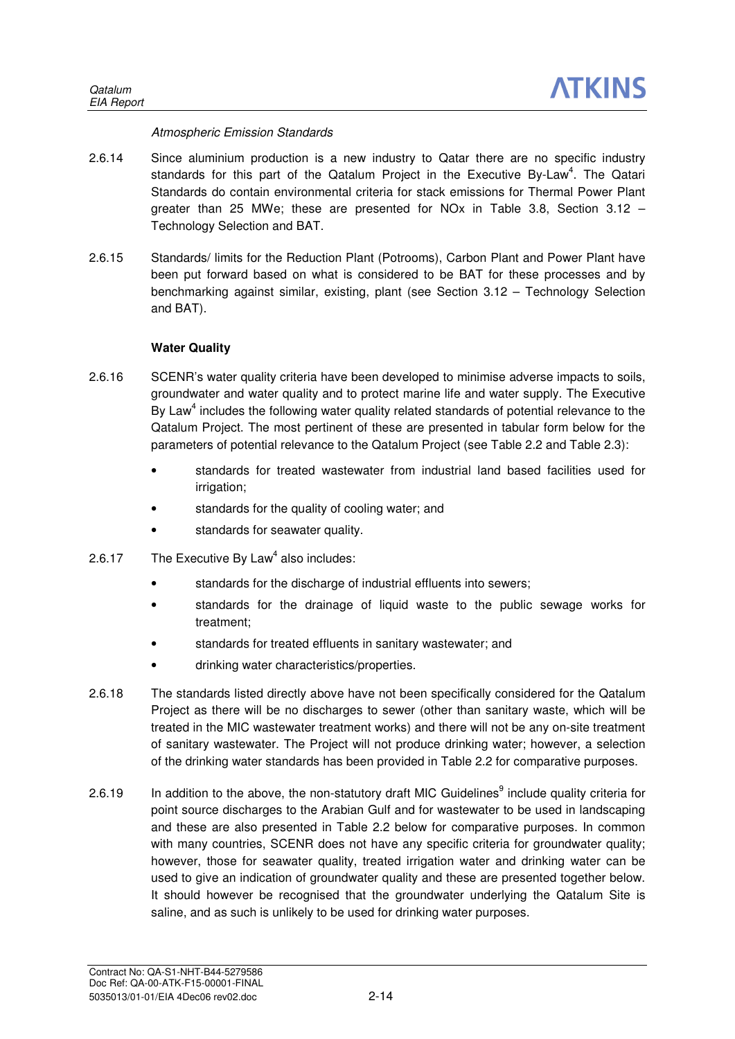### Atmospheric Emission Standards

- 2.6.14 Since aluminium production is a new industry to Qatar there are no specific industry standards for this part of the Qatalum Project in the Executive By-Law<sup>4</sup>. The Qatari Standards do contain environmental criteria for stack emissions for Thermal Power Plant greater than 25 MWe; these are presented for NOx in Table 3.8, Section  $3.12$  – Technology Selection and BAT.
- 2.6.15 Standards/ limits for the Reduction Plant (Potrooms), Carbon Plant and Power Plant have been put forward based on what is considered to be BAT for these processes and by benchmarking against similar, existing, plant (see Section 3.12 – Technology Selection and BAT).

### **Water Quality**

- 2.6.16 SCENR's water quality criteria have been developed to minimise adverse impacts to soils, groundwater and water quality and to protect marine life and water supply. The Executive By Law<sup>4</sup> includes the following water quality related standards of potential relevance to the Qatalum Project. The most pertinent of these are presented in tabular form below for the parameters of potential relevance to the Qatalum Project (see Table 2.2 and Table 2.3):
	- standards for treated wastewater from industrial land based facilities used for irrigation;
	- standards for the quality of cooling water; and
	- standards for seawater quality.
- 2.6.17 The Executive By Law<sup>4</sup> also includes:
	- standards for the discharge of industrial effluents into sewers;
	- standards for the drainage of liquid waste to the public sewage works for treatment;
	- standards for treated effluents in sanitary wastewater; and
	- drinking water characteristics/properties.
- 2.6.18 The standards listed directly above have not been specifically considered for the Qatalum Project as there will be no discharges to sewer (other than sanitary waste, which will be treated in the MIC wastewater treatment works) and there will not be any on-site treatment of sanitary wastewater. The Project will not produce drinking water; however, a selection of the drinking water standards has been provided in Table 2.2 for comparative purposes.
- 2.6.19 In addition to the above, the non-statutory draft MIC Guidelines<sup>9</sup> include quality criteria for point source discharges to the Arabian Gulf and for wastewater to be used in landscaping and these are also presented in Table 2.2 below for comparative purposes. In common with many countries, SCENR does not have any specific criteria for groundwater quality; however, those for seawater quality, treated irrigation water and drinking water can be used to give an indication of groundwater quality and these are presented together below. It should however be recognised that the groundwater underlying the Qatalum Site is saline, and as such is unlikely to be used for drinking water purposes.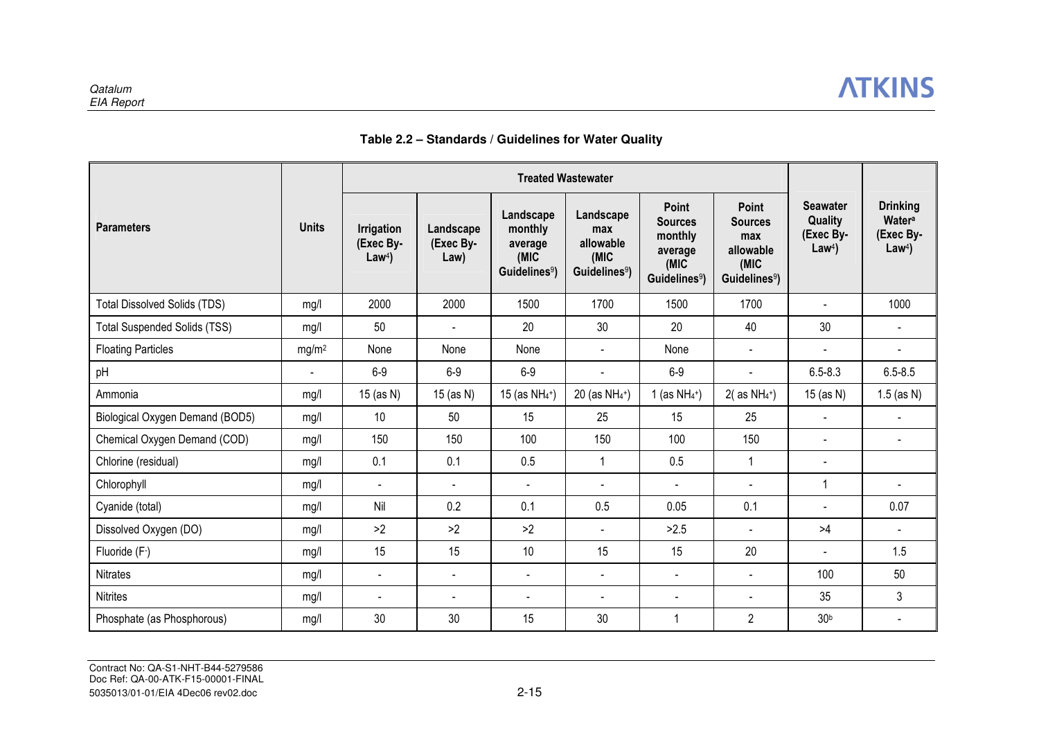

## **Table 2.2 – Standards / Guidelines for Water Quality**

| <b>Treated Wastewater</b>           |                   |                                                    |                                |                                                                      |                                                                    |                                                                                    |                                                                                  |                                                             |                                                            |
|-------------------------------------|-------------------|----------------------------------------------------|--------------------------------|----------------------------------------------------------------------|--------------------------------------------------------------------|------------------------------------------------------------------------------------|----------------------------------------------------------------------------------|-------------------------------------------------------------|------------------------------------------------------------|
| <b>Parameters</b>                   | <b>Units</b>      | <b>Irrigation</b><br>(Exec By-<br>Law <sup>4</sup> | Landscape<br>(Exec By-<br>Law) | Landscape<br>monthly<br>average<br>(MIC<br>Guidelines <sup>9</sup> ) | Landscape<br>max<br>allowable<br>(MIC<br>Guidelines <sup>9</sup> ) | Point<br><b>Sources</b><br>monthly<br>average<br>(MIC<br>Guidelines <sup>9</sup> ) | Point<br><b>Sources</b><br>max<br>allowable<br>(MIC<br>Guidelines <sup>9</sup> ) | <b>Seawater</b><br>Quality<br>(Exec By-<br>Law <sup>4</sup> | <b>Drinking</b><br>Watera<br>(Exec By-<br>Law <sup>4</sup> |
| <b>Total Dissolved Solids (TDS)</b> | mg/l              | 2000                                               | 2000                           | 1500                                                                 | 1700                                                               | 1500                                                                               | 1700                                                                             |                                                             | 1000                                                       |
| <b>Total Suspended Solids (TSS)</b> | mg/l              | 50                                                 | $\blacksquare$                 | 20                                                                   | 30                                                                 | 20                                                                                 | 40                                                                               | 30                                                          | $\blacksquare$                                             |
| <b>Floating Particles</b>           | mg/m <sup>2</sup> | None                                               | None                           | None                                                                 | $\blacksquare$                                                     | None                                                                               | $\blacksquare$                                                                   | $\blacksquare$                                              |                                                            |
| pH                                  | $\blacksquare$    | $6-9$                                              | $6-9$                          | $6-9$                                                                | $\blacksquare$                                                     | $6-9$                                                                              |                                                                                  | $6.5 - 8.3$                                                 | $6.5 - 8.5$                                                |
| Ammonia                             | mg/l              | 15 (as N)                                          | 15 (as N)                      | 15 (as $NH_4^+$ )                                                    | 20 (as NH <sub>4</sub> <sup>+</sup> )                              | 1 (as $NH_4^+$ )                                                                   | $2($ as NH <sub>4</sub> <sup>+</sup> $)$                                         | 15 (as N)                                                   | $1.5$ (as N)                                               |
| Biological Oxygen Demand (BOD5)     | mg/l              | 10                                                 | 50                             | 15                                                                   | 25                                                                 | 15                                                                                 | 25                                                                               | $\sim$                                                      |                                                            |
| Chemical Oxygen Demand (COD)        | mq/l              | 150                                                | 150                            | 100                                                                  | 150                                                                | 100                                                                                | 150                                                                              |                                                             | $\blacksquare$                                             |
| Chlorine (residual)                 | mg/l              | 0.1                                                | 0.1                            | 0.5                                                                  | $\mathbf{1}$                                                       | 0.5                                                                                | 1                                                                                |                                                             |                                                            |
| Chlorophyll                         | mg/l              | $\blacksquare$                                     | $\blacksquare$                 | $\blacksquare$                                                       | $\blacksquare$                                                     | $\blacksquare$                                                                     | $\blacksquare$                                                                   | 1                                                           |                                                            |
| Cyanide (total)                     | mg/l              | Nil                                                | 0.2                            | 0.1                                                                  | 0.5                                                                | 0.05                                                                               | 0.1                                                                              |                                                             | 0.07                                                       |
| Dissolved Oxygen (DO)               | mg/l              | >2                                                 | >2                             | >2                                                                   | $\blacksquare$                                                     | >2.5                                                                               | $\blacksquare$                                                                   | >4                                                          | $\sim$                                                     |
| Fluoride (F-)                       | mq/l              | 15                                                 | 15                             | 10                                                                   | 15                                                                 | 15                                                                                 | 20                                                                               | $\sim$                                                      | 1.5                                                        |
| Nitrates                            | mg/l              |                                                    | $\blacksquare$                 | $\blacksquare$                                                       | $\blacksquare$                                                     | $\blacksquare$                                                                     | $\blacksquare$                                                                   | 100                                                         | 50                                                         |
| <b>Nitrites</b>                     | mg/l              | $\sim$                                             | $\blacksquare$                 | $\blacksquare$                                                       | $\blacksquare$                                                     | $\blacksquare$                                                                     | $\blacksquare$                                                                   | 35                                                          | 3                                                          |
| Phosphate (as Phosphorous)          | mg/l              | 30                                                 | 30                             | 15                                                                   | 30                                                                 | $\overline{\mathbf{1}}$                                                            | $\overline{2}$                                                                   | 30 <sup>b</sup>                                             |                                                            |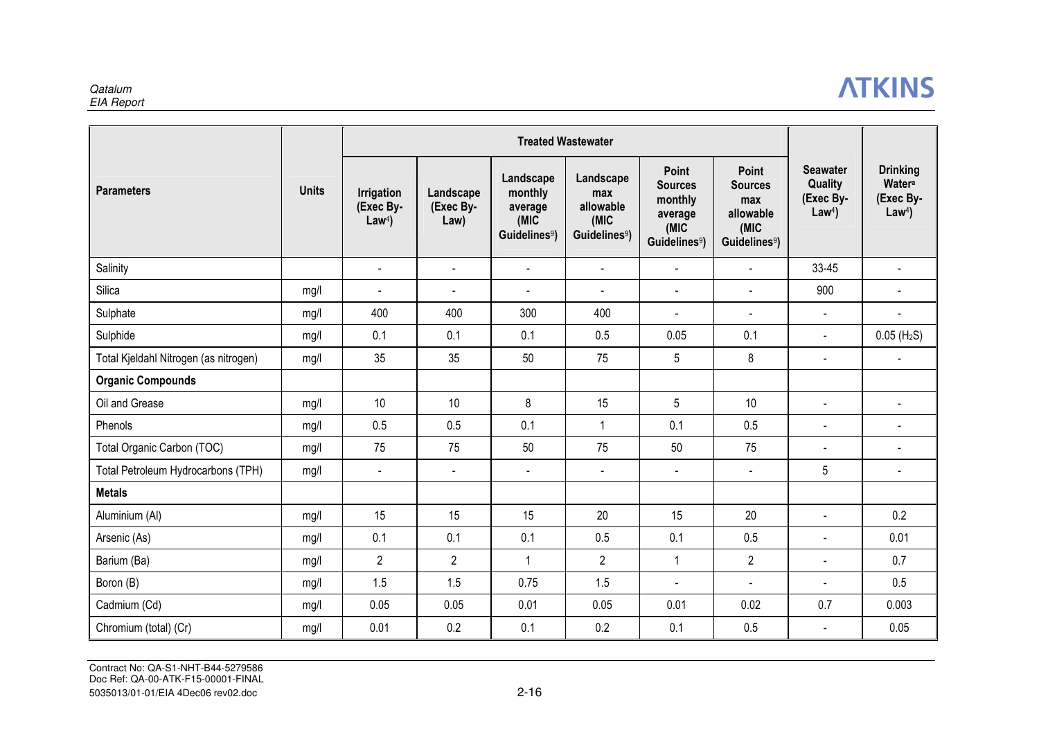#### **Qatalum** EIA Report

# **ATKINS**

|                                       |              | <b>Treated Wastewater</b>                          |                                |                                                                      |                                                                    |                                                                                           |                                                                                         |                                                             |                                                            |
|---------------------------------------|--------------|----------------------------------------------------|--------------------------------|----------------------------------------------------------------------|--------------------------------------------------------------------|-------------------------------------------------------------------------------------------|-----------------------------------------------------------------------------------------|-------------------------------------------------------------|------------------------------------------------------------|
| <b>Parameters</b>                     | <b>Units</b> | <b>Irrigation</b><br>(Exec By-<br>Law <sup>4</sup> | Landscape<br>(Exec By-<br>Law) | Landscape<br>monthly<br>average<br>(MIC<br>Guidelines <sup>9</sup> ) | Landscape<br>max<br>allowable<br>(MIC<br>Guidelines <sup>9</sup> ) | <b>Point</b><br><b>Sources</b><br>monthly<br>average<br>(MIC<br>Guidelines <sup>9</sup> ) | <b>Point</b><br><b>Sources</b><br>max<br>allowable<br>(MIC<br>Guidelines <sup>9</sup> ) | <b>Seawater</b><br>Quality<br>(Exec By-<br>Law <sup>4</sup> | <b>Drinking</b><br>Watera<br>(Exec By-<br>Law <sup>4</sup> |
| Salinity                              |              | $\sim$                                             | $\blacksquare$                 | $\blacksquare$                                                       | $\blacksquare$                                                     | $\blacksquare$                                                                            | $\blacksquare$                                                                          | 33-45                                                       |                                                            |
| Silica                                | mg/l         | $\overline{\phantom{a}}$                           | $\overline{\phantom{a}}$       | $\blacksquare$                                                       | $\blacksquare$                                                     | $\blacksquare$                                                                            | $\blacksquare$                                                                          | 900                                                         | $\blacksquare$                                             |
| Sulphate                              | mg/l         | 400                                                | 400                            | 300                                                                  | 400                                                                | $\blacksquare$                                                                            | $\blacksquare$                                                                          | $\blacksquare$                                              |                                                            |
| Sulphide                              | mg/l         | 0.1                                                | 0.1                            | 0.1                                                                  | 0.5                                                                | 0.05                                                                                      | 0.1                                                                                     | $\blacksquare$                                              | $0.05$ (H <sub>2</sub> S)                                  |
| Total Kjeldahl Nitrogen (as nitrogen) | mg/l         | 35                                                 | 35                             | 50                                                                   | 75                                                                 | 5                                                                                         | 8                                                                                       | $\blacksquare$                                              |                                                            |
| <b>Organic Compounds</b>              |              |                                                    |                                |                                                                      |                                                                    |                                                                                           |                                                                                         |                                                             |                                                            |
| Oil and Grease                        | mg/l         | 10                                                 | 10                             | 8                                                                    | 15                                                                 | 5                                                                                         | 10                                                                                      | $\blacksquare$                                              | $\blacksquare$                                             |
| Phenols                               | mg/l         | 0.5                                                | 0.5                            | 0.1                                                                  | $\overline{1}$                                                     | 0.1                                                                                       | 0.5                                                                                     |                                                             |                                                            |
| Total Organic Carbon (TOC)            | mg/l         | 75                                                 | 75                             | 50                                                                   | 75                                                                 | 50                                                                                        | 75                                                                                      | $\blacksquare$                                              | $\blacksquare$                                             |
| Total Petroleum Hydrocarbons (TPH)    | mg/l         | $\blacksquare$                                     | $\blacksquare$                 | $\blacksquare$                                                       | $\blacksquare$                                                     | $\overline{\phantom{a}}$                                                                  | $\blacksquare$                                                                          | 5                                                           | $\blacksquare$                                             |
| <b>Metals</b>                         |              |                                                    |                                |                                                                      |                                                                    |                                                                                           |                                                                                         |                                                             |                                                            |
| Aluminium (AI)                        | mg/l         | 15                                                 | 15                             | 15                                                                   | 20                                                                 | 15                                                                                        | 20                                                                                      |                                                             | 0.2                                                        |
| Arsenic (As)                          | mg/l         | 0.1                                                | 0.1                            | 0.1                                                                  | 0.5                                                                | 0.1                                                                                       | 0.5                                                                                     | $\blacksquare$                                              | 0.01                                                       |
| Barium (Ba)                           | mg/l         | $\overline{2}$                                     | $\overline{2}$                 | $\mathbf{1}$                                                         | $\overline{2}$                                                     | $\mathbf{1}$                                                                              | $\overline{2}$                                                                          | $\overline{a}$                                              | 0.7                                                        |
| Boron (B)                             | mg/l         | 1.5                                                | 1.5                            | 0.75                                                                 | 1.5                                                                | $\overline{a}$                                                                            | $\overline{a}$                                                                          | $\blacksquare$                                              | 0.5                                                        |
| Cadmium (Cd)                          | mg/l         | 0.05                                               | 0.05                           | 0.01                                                                 | 0.05                                                               | 0.01                                                                                      | 0.02                                                                                    | 0.7                                                         | 0.003                                                      |
| Chromium (total) (Cr)                 | mg/l         | 0.01                                               | 0.2                            | 0.1                                                                  | 0.2                                                                | 0.1                                                                                       | 0.5                                                                                     |                                                             | 0.05                                                       |

Contract No: QA-S1-NHT-B44-5279586 Doc Ref: QA-00-ATK-F15-00001-FINAL5035013/01-01/EIA 4Dec06 rev02.doc 2-16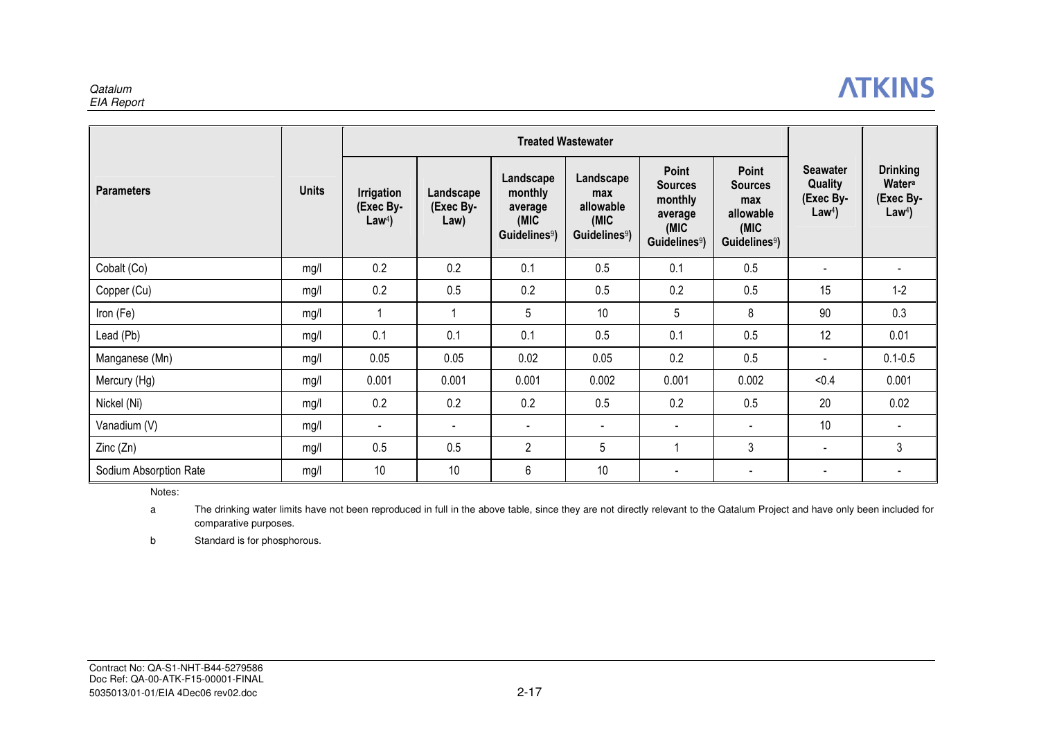#### **Qatalum** EIA Report

## **ATKINS**

|                        |              | <b>Treated Wastewater</b>                          |                                |                                                                      |                                                                    |                                                                                     |                                                                                  |                                                             |                                                            |
|------------------------|--------------|----------------------------------------------------|--------------------------------|----------------------------------------------------------------------|--------------------------------------------------------------------|-------------------------------------------------------------------------------------|----------------------------------------------------------------------------------|-------------------------------------------------------------|------------------------------------------------------------|
| <b>Parameters</b>      | <b>Units</b> | <b>Irrigation</b><br>(Exec By-<br>Law <sup>4</sup> | Landscape<br>(Exec By-<br>Law) | Landscape<br>monthly<br>average<br>(MIC<br>Guidelines <sup>9</sup> ) | Landscape<br>max<br>allowable<br>(MIC<br>Guidelines <sup>9</sup> ) | Point<br><b>Sources</b><br>monthly<br>average<br>(MIC)<br>Guidelines <sup>9</sup> ) | Point<br><b>Sources</b><br>max<br>allowable<br>(MIC<br>Guidelines <sup>9</sup> ) | <b>Seawater</b><br>Quality<br>(Exec By-<br>Law <sup>4</sup> | <b>Drinking</b><br>Watera<br>(Exec By-<br>Law <sup>4</sup> |
| Cobalt (Co)            | mg/l         | 0.2                                                | 0.2                            | 0.1                                                                  | 0.5                                                                | 0.1                                                                                 | 0.5                                                                              |                                                             |                                                            |
| Copper (Cu)            | mg/l         | 0.2                                                | 0.5                            | 0.2                                                                  | 0.5                                                                | 0.2                                                                                 | 0.5                                                                              | 15                                                          | $1 - 2$                                                    |
| Iron (Fe)              | mg/l         |                                                    | 1                              | 5                                                                    | 10                                                                 | 5                                                                                   | 8                                                                                | 90                                                          | 0.3                                                        |
| Lead (Pb)              | mg/l         | 0.1                                                | 0.1                            | 0.1                                                                  | 0.5                                                                | 0.1                                                                                 | 0.5                                                                              | 12                                                          | 0.01                                                       |
| Manganese (Mn)         | mg/l         | 0.05                                               | 0.05                           | 0.02                                                                 | 0.05                                                               | 0.2                                                                                 | 0.5                                                                              |                                                             | $0.1 - 0.5$                                                |
| Mercury (Hg)           | mg/l         | 0.001                                              | 0.001                          | 0.001                                                                | 0.002                                                              | 0.001                                                                               | 0.002                                                                            | < 0.4                                                       | 0.001                                                      |
| Nickel (Ni)            | mg/l         | 0.2                                                | 0.2                            | 0.2                                                                  | 0.5                                                                | 0.2                                                                                 | 0.5                                                                              | 20                                                          | 0.02                                                       |
| Vanadium (V)           | mg/l         |                                                    | $\blacksquare$                 | $\overline{\phantom{a}}$                                             | $\blacksquare$                                                     | $\blacksquare$                                                                      | $\blacksquare$                                                                   | 10                                                          |                                                            |
| Zinc(Zn)               | mg/l         | 0.5                                                | 0.5                            | $\overline{2}$                                                       | 5                                                                  |                                                                                     | 3                                                                                | $\blacksquare$                                              | 3                                                          |
| Sodium Absorption Rate | mg/l         | 10                                                 | 10                             | 6                                                                    | 10                                                                 | $\overline{\phantom{a}}$                                                            | $\blacksquare$                                                                   |                                                             |                                                            |

Notes:

a The drinking water limits have not been reproduced in full in the above table, since they are not directly relevant to the Qatalum Project and have only been included for comparative purposes.

b Standard is for phosphorous.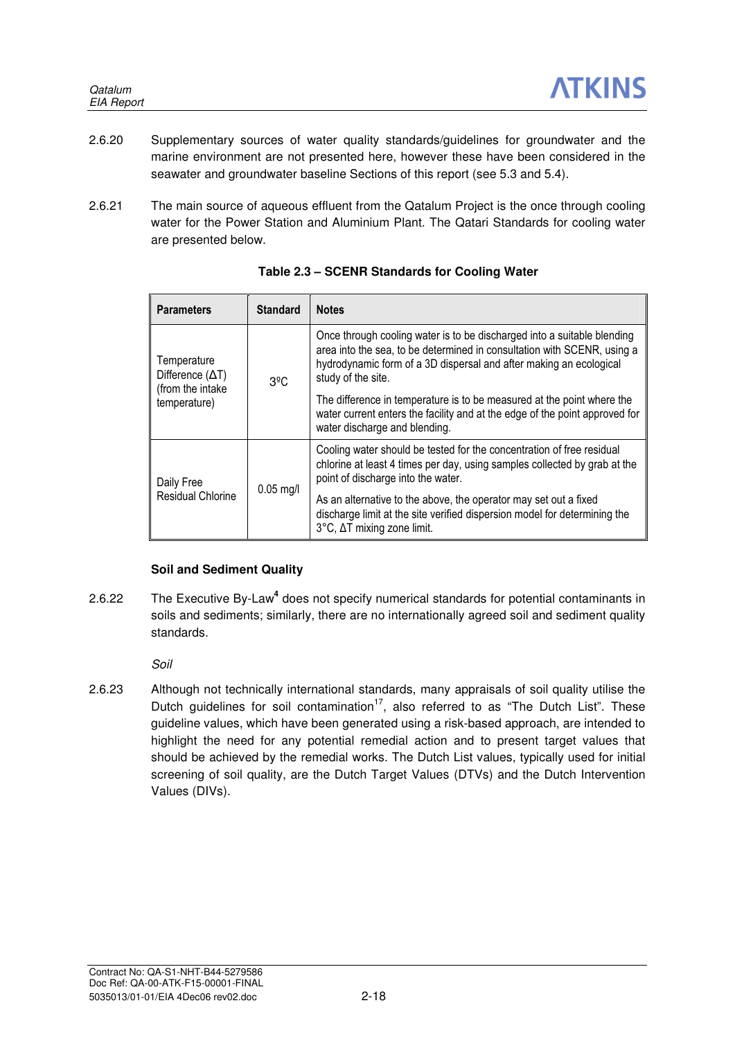- 2.6.20 Supplementary sources of water quality standards/guidelines for groundwater and the marine environment are not presented here, however these have been considered in the seawater and groundwater baseline Sections of this report (see 5.3 and 5.4).
- 2.6.21 The main source of aqueous effluent from the Qatalum Project is the once through cooling water for the Power Station and Aluminium Plant. The Qatari Standards for cooling water are presented below.

| <b>Parameters</b>                      | <b>Standard</b> | <b>Notes</b>                                                                                                                                                                                                                                   |
|----------------------------------------|-----------------|------------------------------------------------------------------------------------------------------------------------------------------------------------------------------------------------------------------------------------------------|
| Temperature<br>Difference $(\Delta T)$ | $3^{\circ}$ C   | Once through cooling water is to be discharged into a suitable blending<br>area into the sea, to be determined in consultation with SCENR, using a<br>hydrodynamic form of a 3D dispersal and after making an ecological<br>study of the site. |
| (from the intake<br>temperature)       |                 | The difference in temperature is to be measured at the point where the<br>water current enters the facility and at the edge of the point approved for<br>water discharge and blending.                                                         |
| Daily Free                             |                 | Cooling water should be tested for the concentration of free residual<br>chlorine at least 4 times per day, using samples collected by grab at the<br>point of discharge into the water.                                                       |
| <b>Residual Chlorine</b>               | $0.05$ mg/l     | As an alternative to the above, the operator may set out a fixed<br>discharge limit at the site verified dispersion model for determining the<br>3°C, ΔT mixing zone limit.                                                                    |

|  | Table 2.3 - SCENR Standards for Cooling Water |  |  |
|--|-----------------------------------------------|--|--|
|  |                                               |  |  |

## **Soil and Sediment Quality**

2.6.22 The Executive By-Law**<sup>4</sup>** does not specify numerical standards for potential contaminants in soils and sediments; similarly, there are no internationally agreed soil and sediment quality standards.

Soil

2.6.23 Although not technically international standards, many appraisals of soil quality utilise the Dutch guidelines for soil contamination<sup>17</sup>, also referred to as "The Dutch List". These guideline values, which have been generated using a risk-based approach, are intended to highlight the need for any potential remedial action and to present target values that should be achieved by the remedial works. The Dutch List values, typically used for initial screening of soil quality, are the Dutch Target Values (DTVs) and the Dutch Intervention Values (DIVs).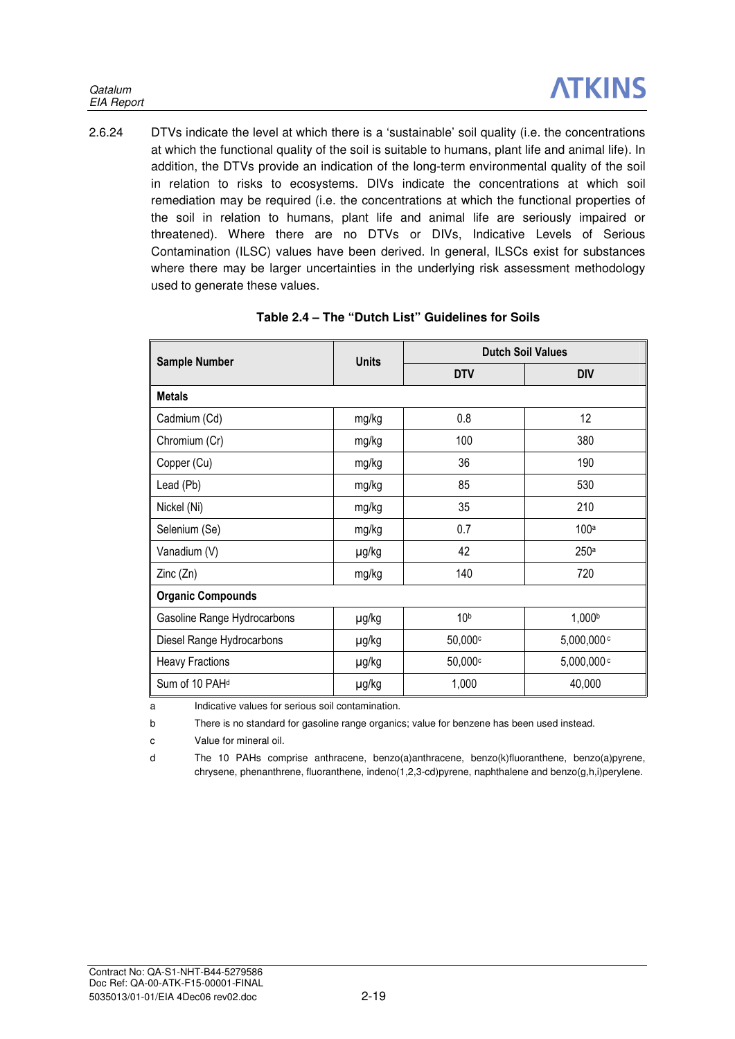2.6.24 DTVs indicate the level at which there is a 'sustainable' soil quality (i.e. the concentrations at which the functional quality of the soil is suitable to humans, plant life and animal life). In addition, the DTVs provide an indication of the long-term environmental quality of the soil in relation to risks to ecosystems. DIVs indicate the concentrations at which soil remediation may be required (i.e. the concentrations at which the functional properties of the soil in relation to humans, plant life and animal life are seriously impaired or threatened). Where there are no DTVs or DIVs, Indicative Levels of Serious Contamination (ILSC) values have been derived. In general, ILSCs exist for substances where there may be larger uncertainties in the underlying risk assessment methodology used to generate these values.

| <b>Sample Number</b>        | <b>Units</b> | <b>Dutch Soil Values</b> |                          |  |  |
|-----------------------------|--------------|--------------------------|--------------------------|--|--|
|                             |              | <b>DTV</b>               | <b>DIV</b>               |  |  |
| <b>Metals</b>               |              |                          |                          |  |  |
| Cadmium (Cd)                | mg/kg        | 0.8                      | 12                       |  |  |
| Chromium (Cr)               | mg/kg        | 100                      | 380                      |  |  |
| Copper (Cu)                 | mg/kg        | 36                       | 190                      |  |  |
| Lead (Pb)                   | mg/kg        | 85                       | 530                      |  |  |
| Nickel (Ni)                 | mg/kg        | 35                       | 210                      |  |  |
| Selenium (Se)               | mg/kg        | 0.7                      | 100a                     |  |  |
| Vanadium (V)                | µg/kg        | 42                       | 250a                     |  |  |
| Zinc (Zn)                   | mg/kg        | 140                      | 720                      |  |  |
| <b>Organic Compounds</b>    |              |                          |                          |  |  |
| Gasoline Range Hydrocarbons | µg/kg        | 10 <sup>b</sup>          | 1,000b                   |  |  |
| Diesel Range Hydrocarbons   | µg/kg        | 50,000c                  | $5,000,000$ <sup>c</sup> |  |  |
| <b>Heavy Fractions</b>      | µg/kg        | 50,000c                  | 5,000,000 c              |  |  |
| Sum of 10 PAH <sup>d</sup>  | µg/kg        | 1,000                    | 40,000                   |  |  |

## **Table 2.4 – The "Dutch List" Guidelines for Soils**

a Indicative values for serious soil contamination.

b There is no standard for gasoline range organics; value for benzene has been used instead.

c Value for mineral oil.

d The 10 PAHs comprise anthracene, benzo(a)anthracene, benzo(k)fluoranthene, benzo(a)pyrene, chrysene, phenanthrene, fluoranthene, indeno(1,2,3-cd)pyrene, naphthalene and benzo(g,h,i)perylene.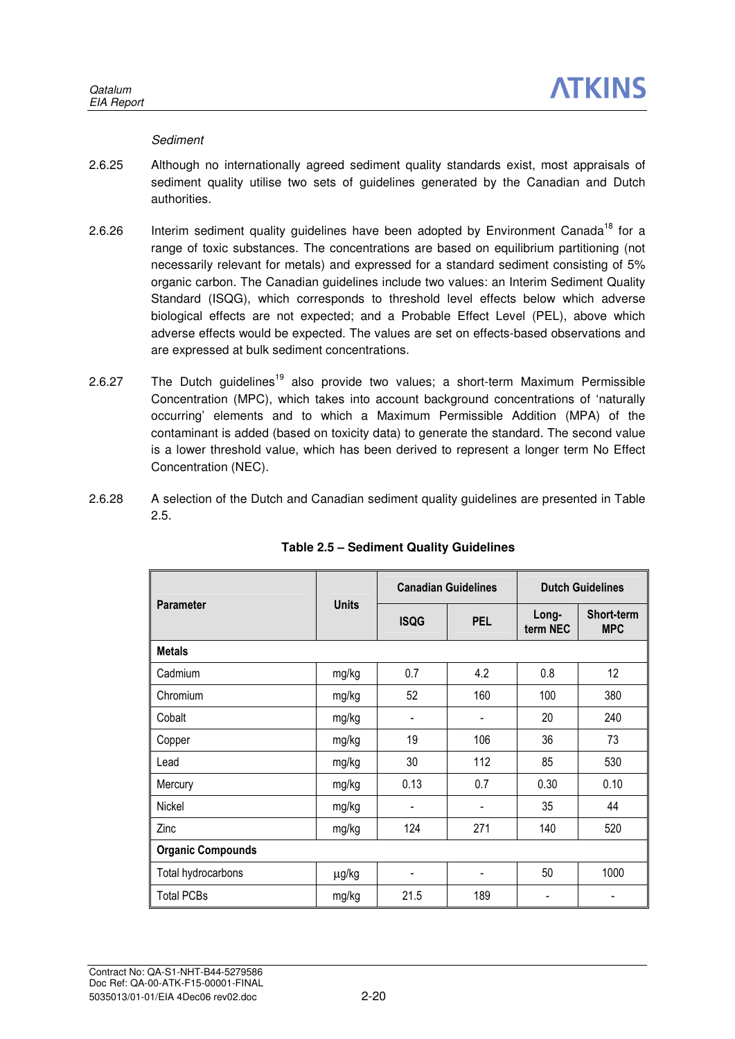### **Sediment**

- 2.6.25 Although no internationally agreed sediment quality standards exist, most appraisals of sediment quality utilise two sets of guidelines generated by the Canadian and Dutch authorities.
- 2.6.26 Interim sediment quality guidelines have been adopted by Environment Canada<sup>18</sup> for a range of toxic substances. The concentrations are based on equilibrium partitioning (not necessarily relevant for metals) and expressed for a standard sediment consisting of 5% organic carbon. The Canadian guidelines include two values: an Interim Sediment Quality Standard (ISQG), which corresponds to threshold level effects below which adverse biological effects are not expected; and a Probable Effect Level (PEL), above which adverse effects would be expected. The values are set on effects-based observations and are expressed at bulk sediment concentrations.
- 2.6.27 The Dutch guidelines<sup>19</sup> also provide two values; a short-term Maximum Permissible Concentration (MPC), which takes into account background concentrations of 'naturally occurring' elements and to which a Maximum Permissible Addition (MPA) of the contaminant is added (based on toxicity data) to generate the standard. The second value is a lower threshold value, which has been derived to represent a longer term No Effect Concentration (NEC).
- 2.6.28 A selection of the Dutch and Canadian sediment quality guidelines are presented in Table 2.5.

|                          |              | <b>Canadian Guidelines</b>   |                | <b>Dutch Guidelines</b> |                          |
|--------------------------|--------------|------------------------------|----------------|-------------------------|--------------------------|
| <b>Parameter</b>         | <b>Units</b> | <b>ISQG</b>                  | <b>PEL</b>     | Long-<br>term NEC       | Short-term<br><b>MPC</b> |
| <b>Metals</b>            |              |                              |                |                         |                          |
| Cadmium                  | mg/kg        | 0.7                          | 4.2            | 0.8                     | 12                       |
| Chromium                 | mg/kg        | 52                           | 160            | 100                     | 380                      |
| Cobalt                   | mg/kg        | -                            |                | 20                      | 240                      |
| Copper                   | mg/kg        | 19                           | 106            | 36                      | 73                       |
| Lead                     | mg/kg        | 30                           | 112            | 85                      | 530                      |
| Mercury                  | mg/kg        | 0.13                         | 0.7            | 0.30                    | 0.10                     |
| Nickel                   | mg/kg        | $\qquad \qquad \blacksquare$ | $\blacksquare$ | 35                      | 44                       |
| Zinc                     | mg/kg        | 124                          | 271            | 140                     | 520                      |
| <b>Organic Compounds</b> |              |                              |                |                         |                          |
| Total hydrocarbons       | μg/kg        |                              |                | 50                      | 1000                     |
| <b>Total PCBs</b>        | mg/kg        | 21.5                         | 189            |                         |                          |

## **Table 2.5 – Sediment Quality Guidelines**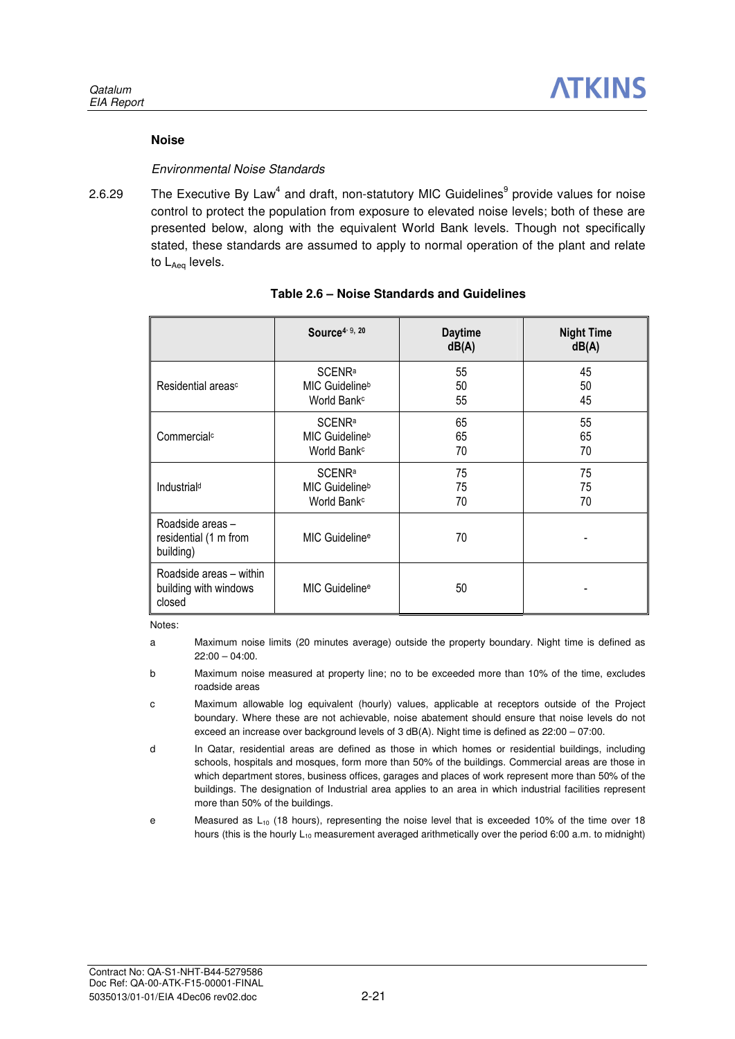### **Noise**

### Environmental Noise Standards

2.6.29 The Executive By Law<sup>4</sup> and draft, non-statutory MIC Guidelines<sup>9</sup> provide values for noise control to protect the population from exposure to elevated noise levels; both of these are presented below, along with the equivalent World Bank levels. Though not specifically stated, these standards are assumed to apply to normal operation of the plant and relate to L<sub>Aeg</sub> levels.

|                                                            | Source <sup>4, 9, 20</sup> | <b>Daytime</b><br>dB(A) | <b>Night Time</b><br>dB(A) |
|------------------------------------------------------------|----------------------------|-------------------------|----------------------------|
| Residential areas <sup>c</sup>                             | <b>SCENRa</b>              | 55                      | 45                         |
|                                                            | MIC Guideline <sup>b</sup> | 50                      | 50                         |
|                                                            | World Bank <sup>c</sup>    | 55                      | 45                         |
| Commercial <sup>c</sup>                                    | <b>SCENRa</b>              | 65                      | 55                         |
|                                                            | MIC Guidelineb             | 65                      | 65                         |
|                                                            | World Bank <sup>c</sup>    | 70                      | 70                         |
| Industrial <sup>d</sup>                                    | <b>SCENRa</b>              | 75                      | 75                         |
|                                                            | MIC Guideline <sup>b</sup> | 75                      | 75                         |
|                                                            | World Bank <sup>c</sup>    | 70                      | 70                         |
| Roadside areas -<br>residential (1 m from<br>building)     | MIC Guideline <sup>e</sup> | 70                      |                            |
| Roadside areas - within<br>building with windows<br>closed | MIC Guideline <sup>e</sup> | 50                      |                            |

### **Table 2.6 – Noise Standards and Guidelines**

Notes:

a Maximum noise limits (20 minutes average) outside the property boundary. Night time is defined as  $22:00 - 04:00$ 

b Maximum noise measured at property line; no to be exceeded more than 10% of the time, excludes roadside areas

- c Maximum allowable log equivalent (hourly) values, applicable at receptors outside of the Project boundary. Where these are not achievable, noise abatement should ensure that noise levels do not exceed an increase over background levels of 3 dB(A). Night time is defined as 22:00 – 07:00.
- d In Qatar, residential areas are defined as those in which homes or residential buildings, including schools, hospitals and mosques, form more than 50% of the buildings. Commercial areas are those in which department stores, business offices, garages and places of work represent more than 50% of the buildings. The designation of Industrial area applies to an area in which industrial facilities represent more than 50% of the buildings.
- e Measured as  $L_{10}$  (18 hours), representing the noise level that is exceeded 10% of the time over 18 hours (this is the hourly  $L_{10}$  measurement averaged arithmetically over the period 6:00 a.m. to midnight)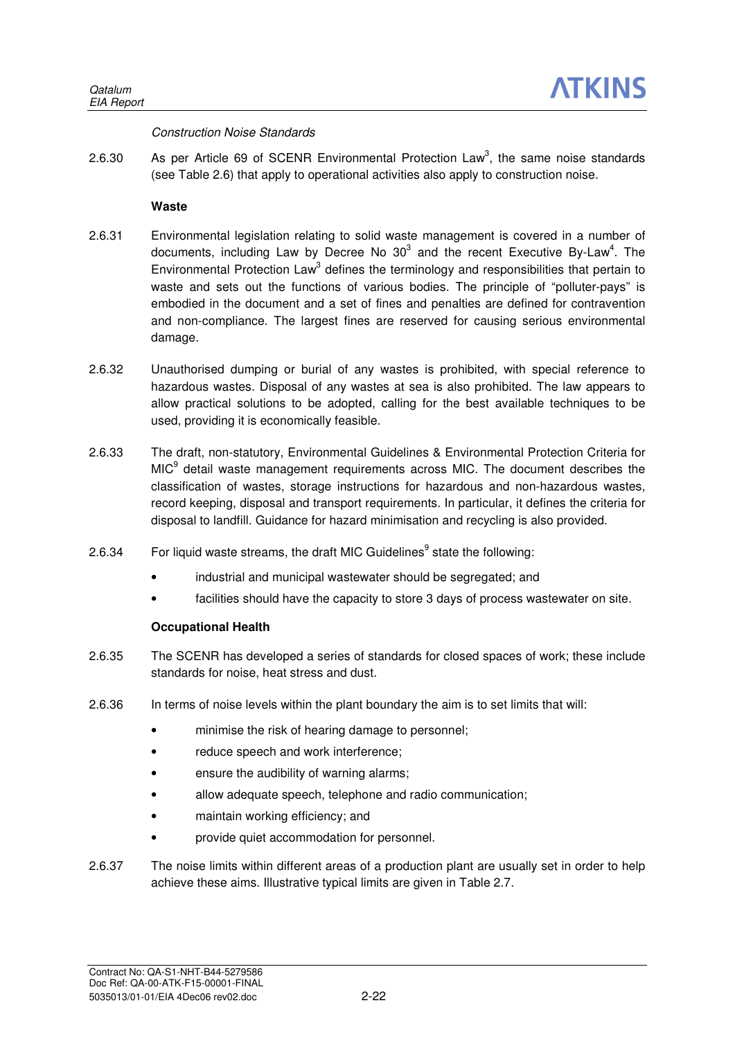### Construction Noise Standards

2.6.30 As per Article 69 of SCENR Environmental Protection Law<sup>3</sup>, the same noise standards (see Table 2.6) that apply to operational activities also apply to construction noise.

### **Waste**

- 2.6.31 Environmental legislation relating to solid waste management is covered in a number of documents, including Law by Decree No 30 $3$  and the recent Executive By-Law<sup>4</sup>. The Environmental Protection Law<sup>3</sup> defines the terminology and responsibilities that pertain to waste and sets out the functions of various bodies. The principle of "polluter-pays" is embodied in the document and a set of fines and penalties are defined for contravention and non-compliance. The largest fines are reserved for causing serious environmental damage.
- 2.6.32 Unauthorised dumping or burial of any wastes is prohibited, with special reference to hazardous wastes. Disposal of any wastes at sea is also prohibited. The law appears to allow practical solutions to be adopted, calling for the best available techniques to be used, providing it is economically feasible.
- 2.6.33 The draft, non-statutory, Environmental Guidelines & Environmental Protection Criteria for MIC<sup>9</sup> detail waste management requirements across MIC. The document describes the classification of wastes, storage instructions for hazardous and non-hazardous wastes, record keeping, disposal and transport requirements. In particular, it defines the criteria for disposal to landfill. Guidance for hazard minimisation and recycling is also provided.
- 2.6.34 For liquid waste streams, the draft MIC Guidelines<sup>9</sup> state the following:
	- industrial and municipal wastewater should be segregated; and
	- facilities should have the capacity to store 3 days of process wastewater on site.

### **Occupational Health**

- 2.6.35 The SCENR has developed a series of standards for closed spaces of work; these include standards for noise, heat stress and dust.
- 2.6.36 In terms of noise levels within the plant boundary the aim is to set limits that will:
	- minimise the risk of hearing damage to personnel;
	- reduce speech and work interference;
	- ensure the audibility of warning alarms;
	- allow adequate speech, telephone and radio communication;
	- maintain working efficiency; and
	- provide quiet accommodation for personnel.
- 2.6.37 The noise limits within different areas of a production plant are usually set in order to help achieve these aims. Illustrative typical limits are given in Table 2.7.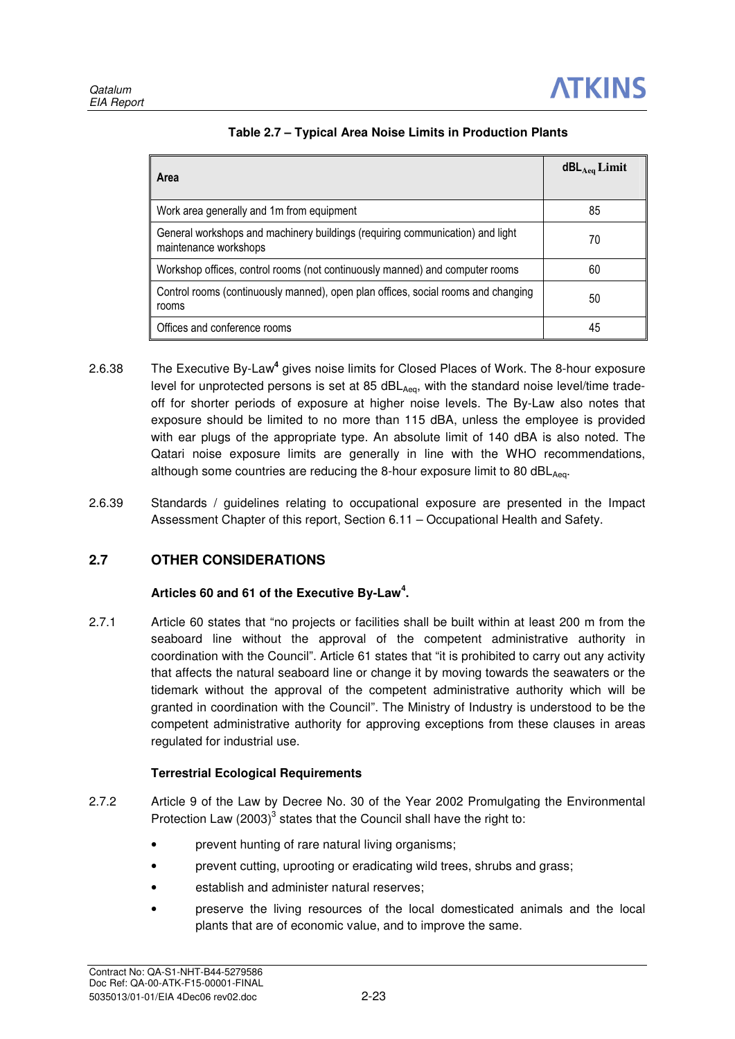| Area                                                                                                   | $dBL$ <sub>Aeg</sub> Limit |
|--------------------------------------------------------------------------------------------------------|----------------------------|
| Work area generally and 1m from equipment                                                              | 85                         |
| General workshops and machinery buildings (requiring communication) and light<br>maintenance workshops | 70                         |
| Workshop offices, control rooms (not continuously manned) and computer rooms                           | 60                         |
| Control rooms (continuously manned), open plan offices, social rooms and changing<br>rooms             | 50                         |
| Offices and conference rooms                                                                           | 45                         |

- 2.6.38 The Executive By-Law**<sup>4</sup>** gives noise limits for Closed Places of Work. The 8-hour exposure level for unprotected persons is set at 85  $dBL<sub>Aea</sub>$ , with the standard noise level/time tradeoff for shorter periods of exposure at higher noise levels. The By-Law also notes that exposure should be limited to no more than 115 dBA, unless the employee is provided with ear plugs of the appropriate type. An absolute limit of 140 dBA is also noted. The Qatari noise exposure limits are generally in line with the WHO recommendations, although some countries are reducing the 8-hour exposure limit to 80 dBL $_{Aeq}$ .
- 2.6.39 Standards / guidelines relating to occupational exposure are presented in the Impact Assessment Chapter of this report, Section 6.11 – Occupational Health and Safety.

## **2.7 OTHER CONSIDERATIONS**

## **Articles 60 and 61 of the Executive By-Law<sup>4</sup> .**

2.7.1 Article 60 states that "no projects or facilities shall be built within at least 200 m from the seaboard line without the approval of the competent administrative authority in coordination with the Council". Article 61 states that "it is prohibited to carry out any activity that affects the natural seaboard line or change it by moving towards the seawaters or the tidemark without the approval of the competent administrative authority which will be granted in coordination with the Council". The Ministry of Industry is understood to be the competent administrative authority for approving exceptions from these clauses in areas regulated for industrial use.

## **Terrestrial Ecological Requirements**

- 2.7.2 Article 9 of the Law by Decree No. 30 of the Year 2002 Promulgating the Environmental Protection Law  $(2003)^3$  states that the Council shall have the right to:
	- prevent hunting of rare natural living organisms;
	- prevent cutting, uprooting or eradicating wild trees, shrubs and grass;
	- establish and administer natural reserves:
	- preserve the living resources of the local domesticated animals and the local plants that are of economic value, and to improve the same.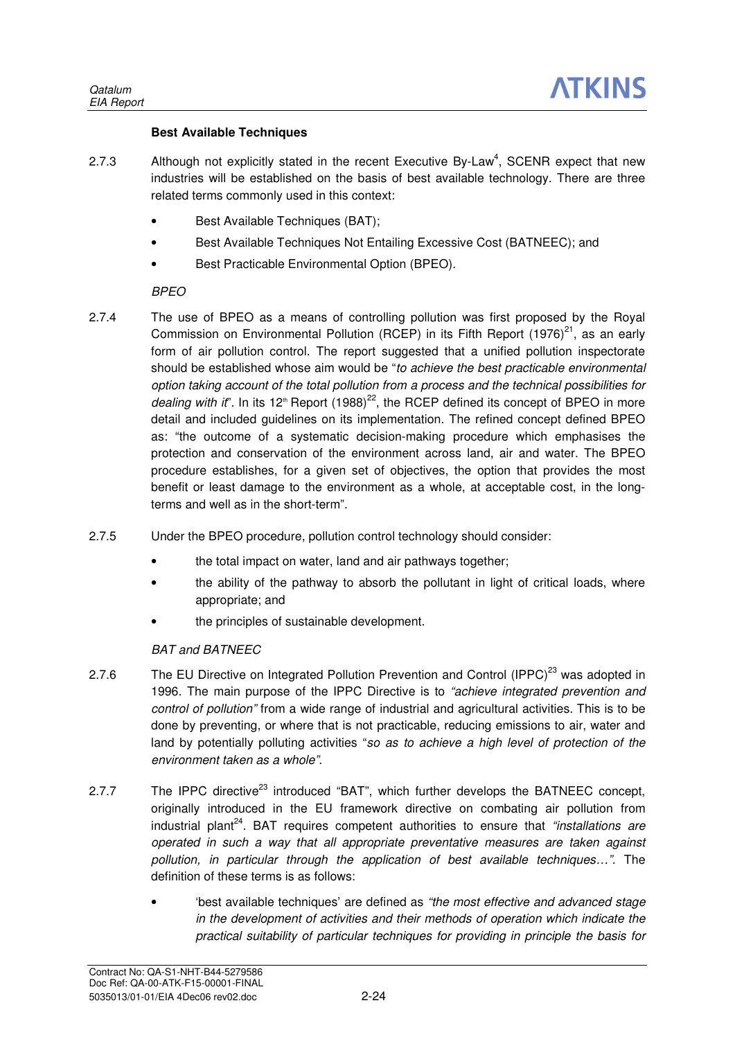### **Best Available Techniques**

- 2.7.3 Although not explicitly stated in the recent Executive By-Law<sup>4</sup>, SCENR expect that new industries will be established on the basis of best available technology. There are three related terms commonly used in this context:
	- Best Available Techniques (BAT);
	- Best Available Techniques Not Entailing Excessive Cost (BATNEEC); and
	- Best Practicable Environmental Option (BPEO).

## BPEO

- 2.7.4 The use of BPEO as a means of controlling pollution was first proposed by the Royal Commission on Environmental Pollution (RCEP) in its Fifth Report  $(1976)^{21}$ , as an early form of air pollution control. The report suggested that a unified pollution inspectorate should be established whose aim would be "to achieve the best practicable environmental option taking account of the total pollution from a process and the technical possibilities for dealing with it". In its 12<sup>th</sup> Report (1988)<sup>22</sup>, the RCEP defined its concept of BPEO in more detail and included guidelines on its implementation. The refined concept defined BPEO as: "the outcome of a systematic decision-making procedure which emphasises the protection and conservation of the environment across land, air and water. The BPEO procedure establishes, for a given set of objectives, the option that provides the most benefit or least damage to the environment as a whole, at acceptable cost, in the longterms and well as in the short-term".
- 2.7.5 Under the BPEO procedure, pollution control technology should consider:
	- the total impact on water, land and air pathways together;
	- the ability of the pathway to absorb the pollutant in light of critical loads, where appropriate; and
	- the principles of sustainable development.

## BAT and BATNEEC

- 2.7.6 The EU Directive on Integrated Pollution Prevention and Control (IPPC)<sup>23</sup> was adopted in 1996. The main purpose of the IPPC Directive is to "achieve integrated prevention and control of pollution" from a wide range of industrial and agricultural activities. This is to be done by preventing, or where that is not practicable, reducing emissions to air, water and land by potentially polluting activities "so as to achieve a high level of protection of the environment taken as a whole".
- 2.7.7 The IPPC directive<sup>23</sup> introduced "BAT", which further develops the BATNEEC concept, originally introduced in the EU framework directive on combating air pollution from industrial plant<sup>24</sup>. BAT requires competent authorities to ensure that "installations are operated in such a way that all appropriate preventative measures are taken against pollution, in particular through the application of best available techniques…". The definition of these terms is as follows:
	- 'best available techniques' are defined as "the most effective and advanced stage in the development of activities and their methods of operation which indicate the practical suitability of particular techniques for providing in principle the basis for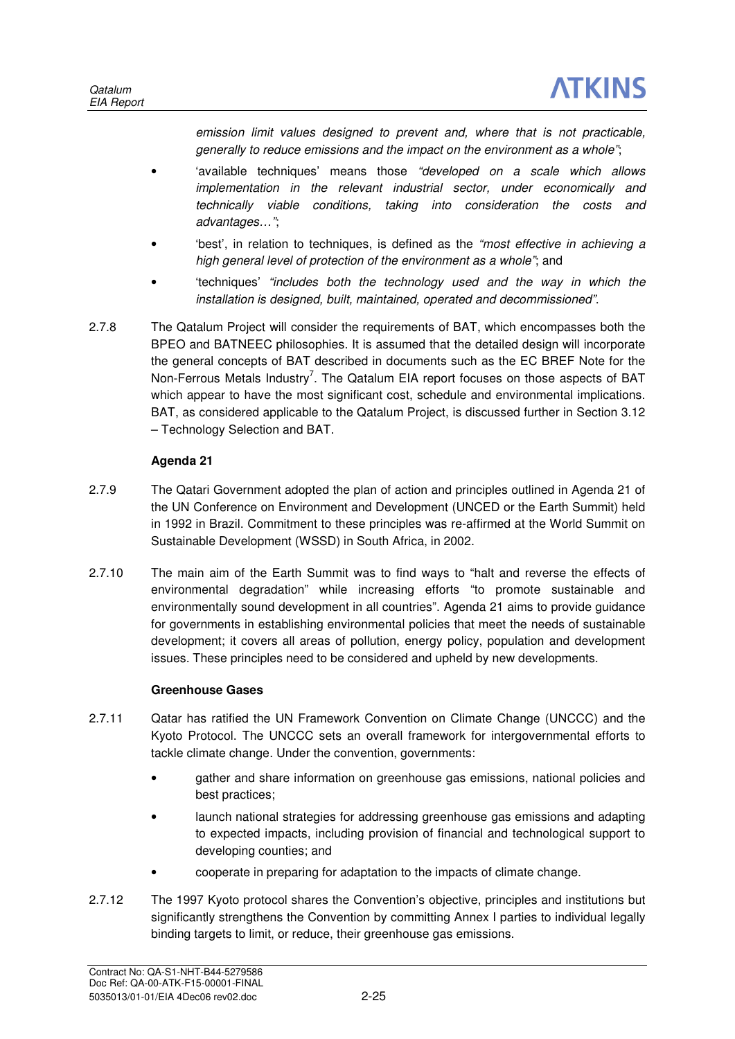emission limit values designed to prevent and, where that is not practicable, generally to reduce emissions and the impact on the environment as a whole";

- 'available techniques' means those "developed on a scale which allows implementation in the relevant industrial sector, under economically and technically viable conditions, taking into consideration the costs and advantages…";
- best', in relation to techniques, is defined as the "most effective in achieving a high general level of protection of the environment as a whole"; and
- 'techniques' "includes both the technology used and the way in which the installation is designed, built, maintained, operated and decommissioned".
- 2.7.8 The Qatalum Project will consider the requirements of BAT, which encompasses both the BPEO and BATNEEC philosophies. It is assumed that the detailed design will incorporate the general concepts of BAT described in documents such as the EC BREF Note for the Non-Ferrous Metals Industry<sup>7</sup>. The Qatalum EIA report focuses on those aspects of BAT which appear to have the most significant cost, schedule and environmental implications. BAT, as considered applicable to the Qatalum Project, is discussed further in Section 3.12 – Technology Selection and BAT.

## **Agenda 21**

- 2.7.9 The Qatari Government adopted the plan of action and principles outlined in Agenda 21 of the UN Conference on Environment and Development (UNCED or the Earth Summit) held in 1992 in Brazil. Commitment to these principles was re-affirmed at the World Summit on Sustainable Development (WSSD) in South Africa, in 2002.
- 2.7.10 The main aim of the Earth Summit was to find ways to "halt and reverse the effects of environmental degradation" while increasing efforts "to promote sustainable and environmentally sound development in all countries". Agenda 21 aims to provide guidance for governments in establishing environmental policies that meet the needs of sustainable development; it covers all areas of pollution, energy policy, population and development issues. These principles need to be considered and upheld by new developments.

## **Greenhouse Gases**

- 2.7.11 Qatar has ratified the UN Framework Convention on Climate Change (UNCCC) and the Kyoto Protocol. The UNCCC sets an overall framework for intergovernmental efforts to tackle climate change. Under the convention, governments:
	- gather and share information on greenhouse gas emissions, national policies and best practices;
	- launch national strategies for addressing greenhouse gas emissions and adapting to expected impacts, including provision of financial and technological support to developing counties; and
	- cooperate in preparing for adaptation to the impacts of climate change.
- 2.7.12 The 1997 Kyoto protocol shares the Convention's objective, principles and institutions but significantly strengthens the Convention by committing Annex I parties to individual legally binding targets to limit, or reduce, their greenhouse gas emissions.